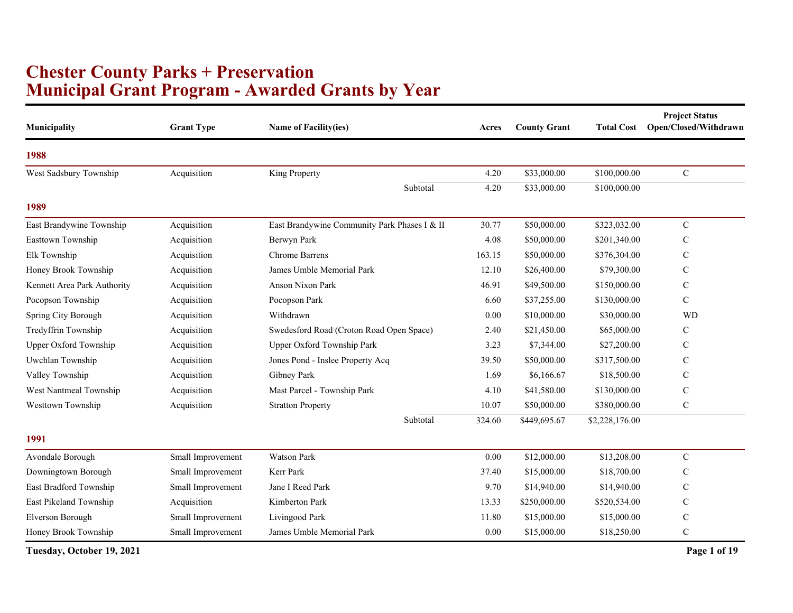## **Municipal Grant Program - Awarded Grants by Year Chester County Parks + Preservation**

| Municipality                 | <b>Grant Type</b> | Name of Facility(ies)                        | Acres  | <b>County Grant</b> | <b>Total Cost</b> | <b>Project Status</b><br>Open/Closed/Withdrawn |
|------------------------------|-------------------|----------------------------------------------|--------|---------------------|-------------------|------------------------------------------------|
| 1988                         |                   |                                              |        |                     |                   |                                                |
| West Sadsbury Township       | Acquisition       | King Property                                | 4.20   | \$33,000.00         | \$100,000.00      | $\mathbf C$                                    |
|                              |                   | Subtotal                                     | 4.20   | \$33,000.00         | \$100,000.00      |                                                |
| 1989                         |                   |                                              |        |                     |                   |                                                |
| East Brandywine Township     | Acquisition       | East Brandywine Community Park Phases I & II | 30.77  | \$50,000.00         | \$323,032.00      | ${\bf C}$                                      |
| Easttown Township            | Acquisition       | Berwyn Park                                  | 4.08   | \$50,000.00         | \$201,340.00      | $\mathbf C$                                    |
| Elk Township                 | Acquisition       | <b>Chrome Barrens</b>                        | 163.15 | \$50,000.00         | \$376,304.00      | $\mathsf{C}$                                   |
| Honey Brook Township         | Acquisition       | James Umble Memorial Park                    | 12.10  | \$26,400.00         | \$79,300.00       | C                                              |
| Kennett Area Park Authority  | Acquisition       | Anson Nixon Park                             | 46.91  | \$49,500.00         | \$150,000.00      | $\mathsf{C}$                                   |
| Pocopson Township            | Acquisition       | Pocopson Park                                | 6.60   | \$37,255.00         | \$130,000.00      | $\mathbf C$                                    |
| Spring City Borough          | Acquisition       | Withdrawn                                    | 0.00   | \$10,000.00         | \$30,000.00       | <b>WD</b>                                      |
| Tredyffrin Township          | Acquisition       | Swedesford Road (Croton Road Open Space)     | 2.40   | \$21,450.00         | \$65,000.00       | C                                              |
| <b>Upper Oxford Township</b> | Acquisition       | Upper Oxford Township Park                   | 3.23   | \$7,344.00          | \$27,200.00       | $\mathsf{C}$                                   |
| Uwchlan Township             | Acquisition       | Jones Pond - Inslee Property Acq             | 39.50  | \$50,000.00         | \$317,500.00      | $\mathsf{C}$                                   |
| Valley Township              | Acquisition       | Gibney Park                                  | 1.69   | \$6,166.67          | \$18,500.00       | $\mathsf{C}$                                   |
| West Nantmeal Township       | Acquisition       | Mast Parcel - Township Park                  | 4.10   | \$41,580.00         | \$130,000.00      | $\mathsf{C}$                                   |
| Westtown Township            | Acquisition       | <b>Stratton Property</b>                     | 10.07  | \$50,000.00         | \$380,000.00      | $\mathbf C$                                    |
|                              |                   | Subtotal                                     | 324.60 | \$449,695.67        | \$2,228,176.00    |                                                |
| 1991                         |                   |                                              |        |                     |                   |                                                |
| Avondale Borough             | Small Improvement | Watson Park                                  | 0.00   | \$12,000.00         | \$13,208.00       | $\mathbf C$                                    |
| Downingtown Borough          | Small Improvement | Kerr Park                                    | 37.40  | \$15,000.00         | \$18,700.00       | $\mathsf{C}$                                   |
| East Bradford Township       | Small Improvement | Jane I Reed Park                             | 9.70   | \$14,940.00         | \$14,940.00       | C                                              |
| East Pikeland Township       | Acquisition       | Kimberton Park                               | 13.33  | \$250,000.00        | \$520,534.00      | $\mathsf{C}$                                   |
| Elverson Borough             | Small Improvement | Livingood Park                               | 11.80  | \$15,000.00         | \$15,000.00       | $\mathsf{C}$                                   |
| Honey Brook Township         | Small Improvement | James Umble Memorial Park                    | 0.00   | \$15,000.00         | \$18,250.00       | ${\bf C}$                                      |
| Tuesday, October 19, 2021    |                   |                                              |        |                     |                   | Page 1 of 19                                   |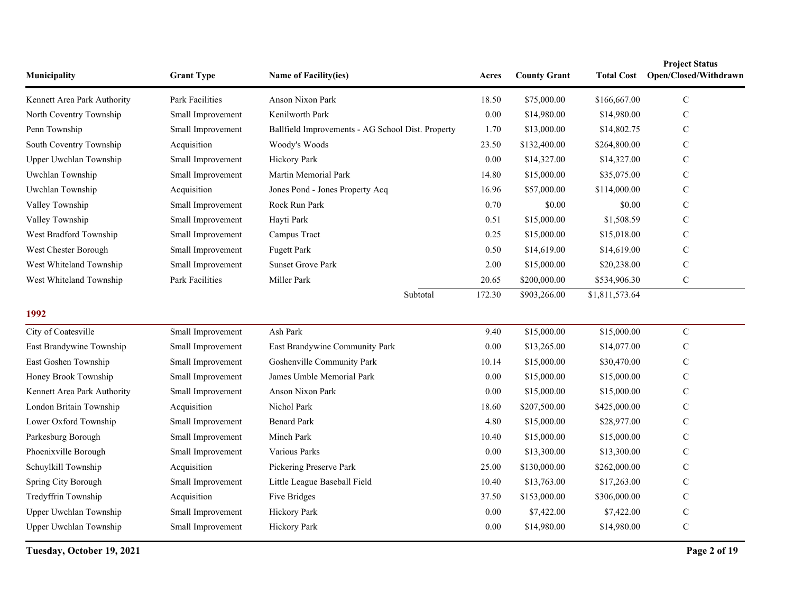| Municipality                | <b>Grant Type</b> | Name of Facility(ies)                             | Acres  | <b>County Grant</b> | <b>Total Cost</b> | <b>Project Status</b><br>Open/Closed/Withdrawn |
|-----------------------------|-------------------|---------------------------------------------------|--------|---------------------|-------------------|------------------------------------------------|
| Kennett Area Park Authority | Park Facilities   | Anson Nixon Park                                  | 18.50  | \$75,000.00         | \$166,667.00      | $\mathsf{C}$                                   |
| North Coventry Township     | Small Improvement | Kenilworth Park                                   | 0.00   | \$14,980.00         | \$14,980.00       | $\mathbf C$                                    |
| Penn Township               | Small Improvement | Ballfield Improvements - AG School Dist. Property | 1.70   | \$13,000.00         | \$14,802.75       | $\mathsf{C}$                                   |
| South Coventry Township     | Acquisition       | Woody's Woods                                     | 23.50  | \$132,400.00        | \$264,800.00      | $\mathcal{C}$                                  |
| Upper Uwchlan Township      | Small Improvement | Hickory Park                                      | 0.00   | \$14,327.00         | \$14,327.00       | $\mathbf C$                                    |
| Uwchlan Township            | Small Improvement | Martin Memorial Park                              | 14.80  | \$15,000.00         | \$35,075.00       | $\mathbf C$                                    |
| Uwchlan Township            | Acquisition       | Jones Pond - Jones Property Acq                   | 16.96  | \$57,000.00         | \$114,000.00      | $\mathbf C$                                    |
| Valley Township             | Small Improvement | Rock Run Park                                     | 0.70   | \$0.00              | \$0.00            | $\mathsf{C}$                                   |
| Valley Township             | Small Improvement | Hayti Park                                        | 0.51   | \$15,000.00         | \$1,508.59        | $\mathcal{C}$                                  |
| West Bradford Township      | Small Improvement | Campus Tract                                      | 0.25   | \$15,000.00         | \$15,018.00       | $\mathbf C$                                    |
| West Chester Borough        | Small Improvement | <b>Fugett Park</b>                                | 0.50   | \$14,619.00         | \$14,619.00       | $\mathbf C$                                    |
| West Whiteland Township     | Small Improvement | <b>Sunset Grove Park</b>                          | 2.00   | \$15,000.00         | \$20,238.00       | $\mathcal{C}$                                  |
| West Whiteland Township     | Park Facilities   | Miller Park                                       | 20.65  | \$200,000.00        | \$534,906.30      | $\mathbf C$                                    |
|                             |                   | Subtotal                                          | 172.30 | \$903,266.00        | \$1,811,573.64    |                                                |
| 1992                        |                   |                                                   |        |                     |                   |                                                |
| City of Coatesville         | Small Improvement | Ash Park                                          | 9.40   | \$15,000.00         | \$15,000.00       | $\mathbf C$                                    |
| East Brandywine Township    | Small Improvement | East Brandywine Community Park                    | 0.00   | \$13,265.00         | \$14,077.00       | C                                              |
| East Goshen Township        | Small Improvement | Goshenville Community Park                        | 10.14  | \$15,000.00         | \$30,470.00       | $\mathcal{C}$                                  |
| Honey Brook Township        | Small Improvement | James Umble Memorial Park                         | 0.00   | \$15,000.00         | \$15,000.00       | $\mathsf{C}$                                   |
| Kennett Area Park Authority | Small Improvement | Anson Nixon Park                                  | 0.00   | \$15,000.00         | \$15,000.00       | $\mathsf{C}$                                   |
| London Britain Township     | Acquisition       | Nichol Park                                       | 18.60  | \$207,500.00        | \$425,000.00      | $\mathcal{C}$                                  |
| Lower Oxford Township       | Small Improvement | <b>Benard Park</b>                                | 4.80   | \$15,000.00         | \$28,977.00       | $\mathbf C$                                    |
| Parkesburg Borough          | Small Improvement | Minch Park                                        | 10.40  | \$15,000.00         | \$15,000.00       | $\mathsf{C}$                                   |
| Phoenixville Borough        | Small Improvement | Various Parks                                     | 0.00   | \$13,300.00         | \$13,300.00       | $\mathcal{C}$                                  |
| Schuylkill Township         | Acquisition       | Pickering Preserve Park                           | 25.00  | \$130,000.00        | \$262,000.00      | $\mathsf{C}$                                   |
| Spring City Borough         | Small Improvement | Little League Baseball Field                      | 10.40  | \$13,763.00         | \$17,263.00       | $\mathbf C$                                    |
| Tredyffrin Township         | Acquisition       | Five Bridges                                      | 37.50  | \$153,000.00        | \$306,000.00      | $\mathcal{C}$                                  |
| Upper Uwchlan Township      | Small Improvement | Hickory Park                                      | 0.00   | \$7,422.00          | \$7,422.00        | $\mathsf{C}$                                   |
| Upper Uwchlan Township      | Small Improvement | Hickory Park                                      | 0.00   | \$14,980.00         | \$14,980.00       | $\mathbf C$                                    |

**Tuesday, October 19, 2021 Page 2 of 19**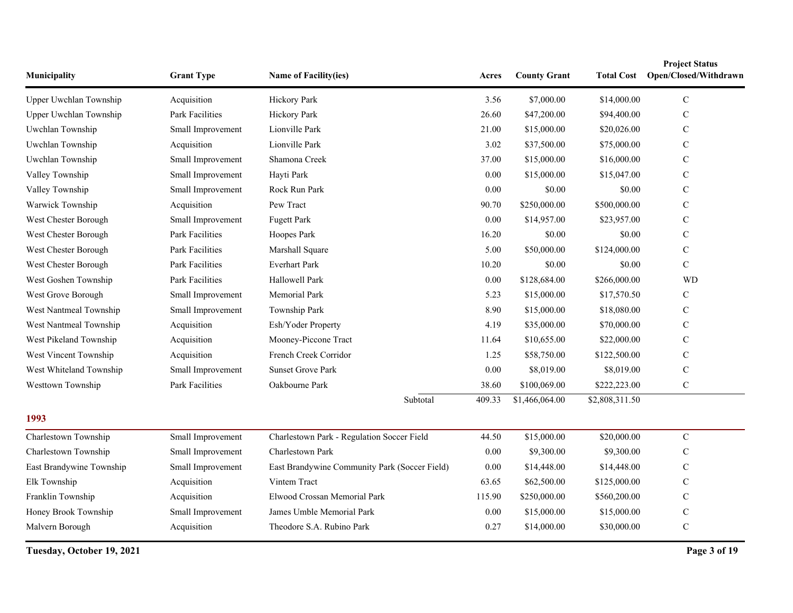| Municipality             | <b>Grant Type</b>      | Name of Facility(ies)                         | Acres  | <b>County Grant</b> | <b>Total Cost</b> | <b>Project Status</b><br>Open/Closed/Withdrawn |
|--------------------------|------------------------|-----------------------------------------------|--------|---------------------|-------------------|------------------------------------------------|
| Upper Uwchlan Township   | Acquisition            | Hickory Park                                  | 3.56   | \$7,000.00          | \$14,000.00       | $\mathbf C$                                    |
| Upper Uwchlan Township   | Park Facilities        | Hickory Park                                  | 26.60  | \$47,200.00         | \$94,400.00       | $\mathsf{C}$                                   |
| Uwchlan Township         | Small Improvement      | Lionville Park                                | 21.00  | \$15,000.00         | \$20,026.00       | $\mathbf C$                                    |
| Uwchlan Township         | Acquisition            | Lionville Park                                | 3.02   | \$37,500.00         | \$75,000.00       | C                                              |
| Uwchlan Township         | Small Improvement      | Shamona Creek                                 | 37.00  | \$15,000.00         | \$16,000.00       | $\mathbf C$                                    |
| Valley Township          | Small Improvement      | Hayti Park                                    | 0.00   | \$15,000.00         | \$15,047.00       | $\mathbf C$                                    |
| Valley Township          | Small Improvement      | Rock Run Park                                 | 0.00   | \$0.00              | \$0.00            | C                                              |
| Warwick Township         | Acquisition            | Pew Tract                                     | 90.70  | \$250,000.00        | \$500,000.00      | C                                              |
| West Chester Borough     | Small Improvement      | <b>Fugett Park</b>                            | 0.00   | \$14,957.00         | \$23,957.00       | $\mathbf C$                                    |
| West Chester Borough     | Park Facilities        | Hoopes Park                                   | 16.20  | \$0.00              | \$0.00            | C                                              |
| West Chester Borough     | Park Facilities        | Marshall Square                               | 5.00   | \$50,000.00         | \$124,000.00      | $\mathbf C$                                    |
| West Chester Borough     | Park Facilities        | <b>Everhart Park</b>                          | 10.20  | \$0.00              | \$0.00            | $\mathbf C$                                    |
| West Goshen Township     | <b>Park Facilities</b> | Hallowell Park                                | 0.00   | \$128,684.00        | \$266,000.00      | <b>WD</b>                                      |
| West Grove Borough       | Small Improvement      | Memorial Park                                 | 5.23   | \$15,000.00         | \$17,570.50       | C                                              |
| West Nantmeal Township   | Small Improvement      | Township Park                                 | 8.90   | \$15,000.00         | \$18,080.00       | $\mathbf C$                                    |
| West Nantmeal Township   | Acquisition            | Esh/Yoder Property                            | 4.19   | \$35,000.00         | \$70,000.00       | C                                              |
| West Pikeland Township   | Acquisition            | Mooney-Piccone Tract                          | 11.64  | \$10,655.00         | \$22,000.00       | C                                              |
| West Vincent Township    | Acquisition            | French Creek Corridor                         | 1.25   | \$58,750.00         | \$122,500.00      | $\mathbf C$                                    |
| West Whiteland Township  | Small Improvement      | <b>Sunset Grove Park</b>                      | 0.00   | \$8,019.00          | \$8,019.00        | $\mathbf C$                                    |
| Westtown Township        | <b>Park Facilities</b> | Oakbourne Park                                | 38.60  | \$100,069.00        | \$222,223.00      | $\mathcal{C}$                                  |
|                          |                        | Subtotal                                      | 409.33 | \$1,466,064.00      | \$2,808,311.50    |                                                |
| 1993                     |                        |                                               |        |                     |                   |                                                |
| Charlestown Township     | Small Improvement      | Charlestown Park - Regulation Soccer Field    | 44.50  | \$15,000.00         | \$20,000.00       | $\mathbf C$                                    |
| Charlestown Township     | Small Improvement      | Charlestown Park                              | 0.00   | \$9,300.00          | \$9,300.00        | C                                              |
| East Brandywine Township | Small Improvement      | East Brandywine Community Park (Soccer Field) | 0.00   | \$14,448.00         | \$14,448.00       | C                                              |
| Elk Township             | Acquisition            | Vintem Tract                                  | 63.65  | \$62,500.00         | \$125,000.00      | C                                              |
| Franklin Township        | Acquisition            | Elwood Crossan Memorial Park                  | 115.90 | \$250,000.00        | \$560,200.00      | C                                              |
| Honey Brook Township     | Small Improvement      | James Umble Memorial Park                     | 0.00   | \$15,000.00         | \$15,000.00       | $\mathbf C$                                    |
| Malvern Borough          | Acquisition            | Theodore S.A. Rubino Park                     | 0.27   | \$14,000.00         | \$30,000.00       | $\mathbf C$                                    |

**Tuesday, October 19, 2021 Page 3 of 19**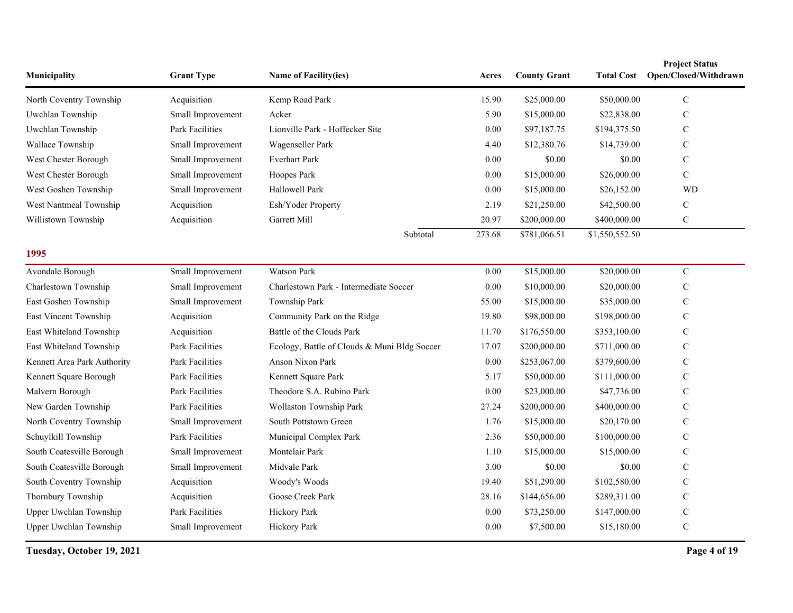| Municipality                | <b>Grant Type</b>      | <b>Name of Facility(ies)</b>                 | Acres    | <b>County Grant</b> | <b>Total Cost</b> | <b>Project Status</b><br>Open/Closed/Withdrawn |
|-----------------------------|------------------------|----------------------------------------------|----------|---------------------|-------------------|------------------------------------------------|
| North Coventry Township     | Acquisition            | Kemp Road Park                               | 15.90    | \$25,000.00         | \$50,000.00       | $\mathbf C$                                    |
| Uwchlan Township            | Small Improvement      | Acker                                        | 5.90     | \$15,000.00         | \$22,838.00       | C                                              |
| Uwchlan Township            | Park Facilities        | Lionville Park - Hoffecker Site              | 0.00     | \$97,187.75         | \$194,375.50      | $\mathbf C$                                    |
| Wallace Township            | Small Improvement      | Wagenseller Park                             | 4.40     | \$12,380.76         | \$14,739.00       | $\mathbf C$                                    |
| West Chester Borough        | Small Improvement      | <b>Everhart Park</b>                         | 0.00     | \$0.00              | \$0.00            | C                                              |
| West Chester Borough        | Small Improvement      | Hoopes Park                                  | 0.00     | \$15,000.00         | \$26,000.00       | $\mathbf C$                                    |
| West Goshen Township        | Small Improvement      | Hallowell Park                               | 0.00     | \$15,000.00         | \$26,152.00       | <b>WD</b>                                      |
| West Nantmeal Township      | Acquisition            | Esh/Yoder Property                           | 2.19     | \$21,250.00         | \$42,500.00       | C                                              |
| Willistown Township         | Acquisition            | Garrett Mill                                 | 20.97    | \$200,000.00        | \$400,000.00      | ${\bf C}$                                      |
|                             |                        | Subtotal                                     | 273.68   | \$781,066.51        | \$1,550,552.50    |                                                |
| 1995                        |                        |                                              |          |                     |                   |                                                |
| Avondale Borough            | Small Improvement      | <b>Watson Park</b>                           | 0.00     | \$15,000.00         | \$20,000.00       | $\mathbf C$                                    |
| Charlestown Township        | Small Improvement      | Charlestown Park - Intermediate Soccer       | 0.00     | \$10,000.00         | \$20,000.00       | C                                              |
| East Goshen Township        | Small Improvement      | Township Park                                | 55.00    | \$15,000.00         | \$35,000.00       | C                                              |
| East Vincent Township       | Acquisition            | Community Park on the Ridge                  | 19.80    | \$98,000.00         | \$198,000.00      | C                                              |
| East Whiteland Township     | Acquisition            | Battle of the Clouds Park                    | 11.70    | \$176,550.00        | \$353,100.00      | $\mathbf C$                                    |
| East Whiteland Township     | Park Facilities        | Ecology, Battle of Clouds & Muni Bldg Soccer | 17.07    | \$200,000.00        | \$711,000.00      | $\mathbf C$                                    |
| Kennett Area Park Authority | Park Facilities        | <b>Anson Nixon Park</b>                      | 0.00     | \$253,067.00        | \$379,600.00      | $\mathbf C$                                    |
| Kennett Square Borough      | Park Facilities        | Kennett Square Park                          | 5.17     | \$50,000.00         | \$111,000.00      | $\mathbf C$                                    |
| Malvern Borough             | <b>Park Facilities</b> | Theodore S.A. Rubino Park                    | $0.00\,$ | \$23,000.00         | \$47,736.00       | C                                              |
| New Garden Township         | <b>Park Facilities</b> | Wollaston Township Park                      | 27.24    | \$200,000.00        | \$400,000.00      | C                                              |
| North Coventry Township     | Small Improvement      | South Pottstown Green                        | 1.76     | \$15,000.00         | \$20,170.00       | $\mathbf C$                                    |
| Schuylkill Township         | Park Facilities        | Municipal Complex Park                       | 2.36     | \$50,000.00         | \$100,000.00      | C                                              |
| South Coatesville Borough   | Small Improvement      | Montclair Park                               | 1.10     | \$15,000.00         | \$15,000.00       | $\mathbf C$                                    |
| South Coatesville Borough   | Small Improvement      | Midvale Park                                 | 3.00     | \$0.00              | \$0.00            | $\mathbf C$                                    |
| South Coventry Township     | Acquisition            | Woody's Woods                                | 19.40    | \$51,290.00         | \$102,580.00      | C                                              |
| Thornbury Township          | Acquisition            | Goose Creek Park                             | 28.16    | \$144,656.00        | \$289,311.00      | $\mathcal{C}$                                  |
| Upper Uwchlan Township      | <b>Park Facilities</b> | <b>Hickory Park</b>                          | 0.00     | \$73,250.00         | \$147,000.00      | C                                              |
| Upper Uwchlan Township      | Small Improvement      | Hickory Park                                 | 0.00     | \$7,500.00          | \$15,180.00       | $\mathbf C$                                    |

**Tuesday, October 19, 2021 Page 4 of 19**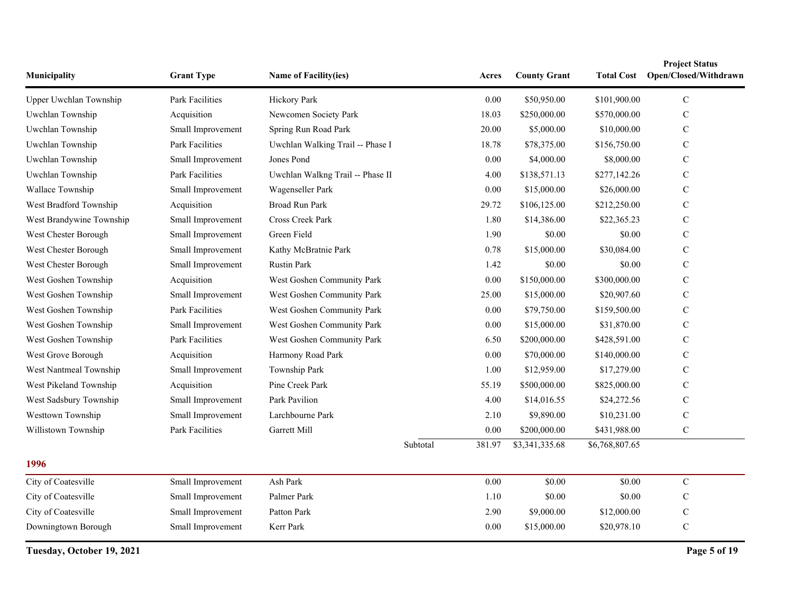| Municipality             | <b>Grant Type</b>      | <b>Name of Facility(ies)</b>     |          | Acres    | <b>County Grant</b> | <b>Total Cost</b> | <b>Project Status</b><br>Open/Closed/Withdrawn |
|--------------------------|------------------------|----------------------------------|----------|----------|---------------------|-------------------|------------------------------------------------|
| Upper Uwchlan Township   | Park Facilities        | Hickory Park                     |          | $0.00\,$ | \$50,950.00         | \$101,900.00      | ${\bf C}$                                      |
| Uwchlan Township         | Acquisition            | Newcomen Society Park            |          | 18.03    | \$250,000.00        | \$570,000.00      | $\mathbf C$                                    |
| Uwchlan Township         | Small Improvement      | Spring Run Road Park             |          | 20.00    | \$5,000.00          | \$10,000.00       | $\mathbf C$                                    |
| Uwchlan Township         | Park Facilities        | Uwchlan Walking Trail -- Phase I |          | 18.78    | \$78,375.00         | \$156,750.00      | C                                              |
| Uwchlan Township         | Small Improvement      | Jones Pond                       |          | $0.00\,$ | \$4,000.00          | \$8,000.00        | $\mathbf C$                                    |
| Uwchlan Township         | Park Facilities        | Uwchlan Walkng Trail -- Phase II |          | 4.00     | \$138,571.13        | \$277,142.26      | $\mathcal{C}$                                  |
| Wallace Township         | Small Improvement      | Wagenseller Park                 |          | 0.00     | \$15,000.00         | \$26,000.00       | C                                              |
| West Bradford Township   | Acquisition            | <b>Broad Run Park</b>            |          | 29.72    | \$106,125.00        | \$212,250.00      | C                                              |
| West Brandywine Township | Small Improvement      | Cross Creek Park                 |          | 1.80     | \$14,386.00         | \$22,365.23       | $\mathbf C$                                    |
| West Chester Borough     | Small Improvement      | Green Field                      |          | 1.90     | \$0.00              | \$0.00            | C                                              |
| West Chester Borough     | Small Improvement      | Kathy McBratnie Park             |          | 0.78     | \$15,000.00         | \$30,084.00       | C                                              |
| West Chester Borough     | Small Improvement      | <b>Rustin Park</b>               |          | 1.42     | \$0.00              | \$0.00            | C                                              |
| West Goshen Township     | Acquisition            | West Goshen Community Park       |          | $0.00\,$ | \$150,000.00        | \$300,000.00      | $\mathsf{C}$                                   |
| West Goshen Township     | Small Improvement      | West Goshen Community Park       |          | 25.00    | \$15,000.00         | \$20,907.60       | $\mathbf C$                                    |
| West Goshen Township     | Park Facilities        | West Goshen Community Park       |          | 0.00     | \$79,750.00         | \$159,500.00      | $\mathbf C$                                    |
| West Goshen Township     | Small Improvement      | West Goshen Community Park       |          | 0.00     | \$15,000.00         | \$31,870.00       | C                                              |
| West Goshen Township     | <b>Park Facilities</b> | West Goshen Community Park       |          | 6.50     | \$200,000.00        | \$428,591.00      | $\mathbf C$                                    |
| West Grove Borough       | Acquisition            | Harmony Road Park                |          | $0.00\,$ | \$70,000.00         | \$140,000.00      | $\mathcal{C}$                                  |
| West Nantmeal Township   | Small Improvement      | Township Park                    |          | 1.00     | \$12,959.00         | \$17,279.00       | $\mathbf C$                                    |
| West Pikeland Township   | Acquisition            | Pine Creek Park                  |          | 55.19    | \$500,000.00        | \$825,000.00      | $\mathbf C$                                    |
| West Sadsbury Township   | Small Improvement      | Park Pavilion                    |          | 4.00     | \$14,016.55         | \$24,272.56       | C                                              |
| Westtown Township        | Small Improvement      | Larchbourne Park                 |          | 2.10     | \$9,890.00          | \$10,231.00       | $\mathbf C$                                    |
| Willistown Township      | Park Facilities        | Garrett Mill                     |          | 0.00     | \$200,000.00        | \$431,988.00      | $\mathbf C$                                    |
|                          |                        |                                  | Subtotal | 381.97   | \$3,341,335.68      | \$6,768,807.65    |                                                |
| 1996                     |                        |                                  |          |          |                     |                   |                                                |
| City of Coatesville      | Small Improvement      | Ash Park                         |          | $0.00\,$ | \$0.00              | \$0.00            | ${\bf C}$                                      |
| City of Coatesville      | Small Improvement      | Palmer Park                      |          | 1.10     | \$0.00              | \$0.00            | $\mathbf C$                                    |
| City of Coatesville      | Small Improvement      | Patton Park                      |          | 2.90     | \$9,000.00          | \$12,000.00       | C                                              |
| Downingtown Borough      | Small Improvement      | Kerr Park                        |          | 0.00     | \$15,000.00         | \$20,978.10       | $\mathbf C$                                    |

**Tuesday, October 19, 2021 Page 5 of 19**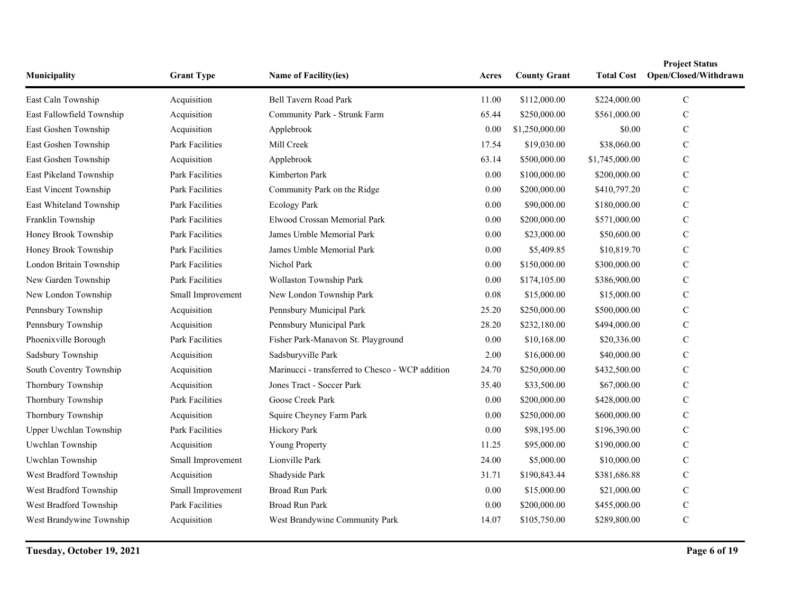| Municipality              | <b>Grant Type</b>      | Name of Facility(ies)                            | Acres    | <b>County Grant</b> | <b>Total Cost</b> | <b>Project Status</b><br>Open/Closed/Withdrawn |
|---------------------------|------------------------|--------------------------------------------------|----------|---------------------|-------------------|------------------------------------------------|
| East Caln Township        | Acquisition            | Bell Tavern Road Park                            | 11.00    | \$112,000.00        | \$224,000.00      | $\mathbf C$                                    |
| East Fallowfield Township | Acquisition            | Community Park - Strunk Farm                     | 65.44    | \$250,000.00        | \$561,000.00      | $\mathbf C$                                    |
| East Goshen Township      | Acquisition            | Applebrook                                       | 0.00     | \$1,250,000.00      | \$0.00            | $\mathbf C$                                    |
| East Goshen Township      | Park Facilities        | Mill Creek                                       | 17.54    | \$19,030.00         | \$38,060.00       | $\mathbf C$                                    |
| East Goshen Township      | Acquisition            | Applebrook                                       | 63.14    | \$500,000.00        | \$1,745,000.00    | $\mathbf C$                                    |
| East Pikeland Township    | Park Facilities        | Kimberton Park                                   | 0.00     | \$100,000.00        | \$200,000.00      | $\mathbf C$                                    |
| East Vincent Township     | Park Facilities        | Community Park on the Ridge                      | 0.00     | \$200,000.00        | \$410,797.20      | $\mathbf C$                                    |
| East Whiteland Township   | Park Facilities        | <b>Ecology Park</b>                              | $0.00\,$ | \$90,000.00         | \$180,000.00      | $\mathbf C$                                    |
| Franklin Township         | <b>Park Facilities</b> | Elwood Crossan Memorial Park                     | 0.00     | \$200,000.00        | \$571,000.00      | $\mathcal{C}$                                  |
| Honey Brook Township      | Park Facilities        | James Umble Memorial Park                        | 0.00     | \$23,000.00         | \$50,600.00       | $\mathbf C$                                    |
| Honey Brook Township      | Park Facilities        | James Umble Memorial Park                        | 0.00     | \$5,409.85          | \$10,819.70       | $\mathbf C$                                    |
| London Britain Township   | Park Facilities        | Nichol Park                                      | 0.00     | \$150,000.00        | \$300,000.00      | $\mathbf C$                                    |
| New Garden Township       | Park Facilities        | Wollaston Township Park                          | 0.00     | \$174,105.00        | \$386,900.00      | $\mathbf C$                                    |
| New London Township       | Small Improvement      | New London Township Park                         | 0.08     | \$15,000.00         | \$15,000.00       | $\mathcal{C}$                                  |
| Pennsbury Township        | Acquisition            | Pennsbury Municipal Park                         | 25.20    | \$250,000.00        | \$500,000.00      | $\mathbf C$                                    |
| Pennsbury Township        | Acquisition            | Pennsbury Municipal Park                         | 28.20    | \$232,180.00        | \$494,000.00      | $\mathbf C$                                    |
| Phoenixville Borough      | Park Facilities        | Fisher Park-Manavon St. Playground               | 0.00     | \$10,168.00         | \$20,336.00       | $\mathbf C$                                    |
| Sadsbury Township         | Acquisition            | Sadsburyville Park                               | 2.00     | \$16,000.00         | \$40,000.00       | $\mathbf C$                                    |
| South Coventry Township   | Acquisition            | Marinucci - transferred to Chesco - WCP addition | 24.70    | \$250,000.00        | \$432,500.00      | $\mathbf C$                                    |
| Thornbury Township        | Acquisition            | Jones Tract - Soccer Park                        | 35.40    | \$33,500.00         | \$67,000.00       | $\mathbf C$                                    |
| Thornbury Township        | Park Facilities        | Goose Creek Park                                 | 0.00     | \$200,000.00        | \$428,000.00      | $\mathbf C$                                    |
| Thornbury Township        | Acquisition            | Squire Cheyney Farm Park                         | 0.00     | \$250,000.00        | \$600,000.00      | $\mathcal{C}$                                  |
| Upper Uwchlan Township    | Park Facilities        | Hickory Park                                     | 0.00     | \$98,195.00         | \$196,390.00      | $\mathbf C$                                    |
| Uwchlan Township          | Acquisition            | Young Property                                   | 11.25    | \$95,000.00         | \$190,000.00      | $\mathbf C$                                    |
| Uwchlan Township          | Small Improvement      | Lionville Park                                   | 24.00    | \$5,000.00          | \$10,000.00       | $\mathcal{C}$                                  |
| West Bradford Township    | Acquisition            | Shadyside Park                                   | 31.71    | \$190,843.44        | \$381,686.88      | $\mathbf C$                                    |
| West Bradford Township    | Small Improvement      | <b>Broad Run Park</b>                            | 0.00     | \$15,000.00         | \$21,000.00       | $\mathbf C$                                    |
| West Bradford Township    | <b>Park Facilities</b> | <b>Broad Run Park</b>                            | 0.00     | \$200,000.00        | \$455,000.00      | $\mathbf C$                                    |
| West Brandywine Township  | Acquisition            | West Brandywine Community Park                   | 14.07    | \$105,750.00        | \$289,800.00      | $\mathbf C$                                    |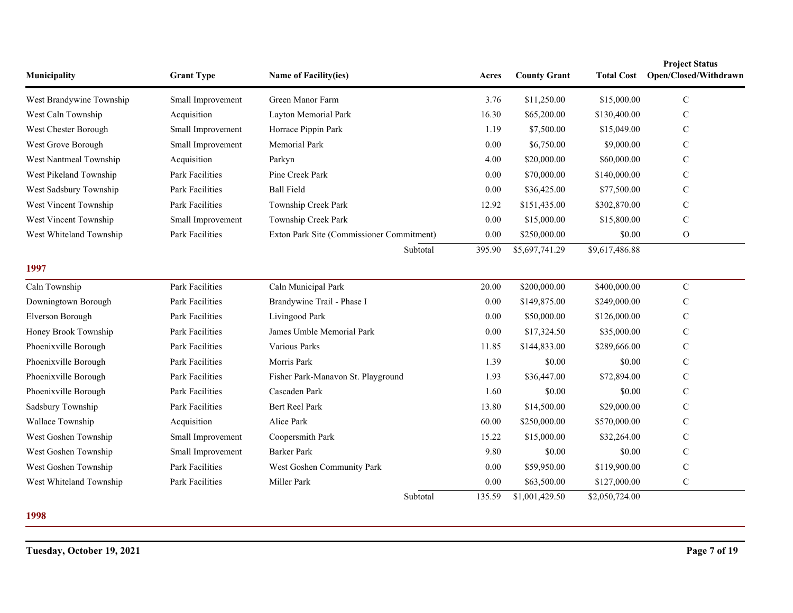| Municipality             | <b>Grant Type</b>      | Name of Facility(ies)                     | Acres  | <b>County Grant</b> | <b>Total Cost</b> | <b>Project Status</b><br>Open/Closed/Withdrawn |
|--------------------------|------------------------|-------------------------------------------|--------|---------------------|-------------------|------------------------------------------------|
| West Brandywine Township | Small Improvement      | Green Manor Farm                          | 3.76   | \$11,250.00         | \$15,000.00       | $\mathbf C$                                    |
| West Caln Township       | Acquisition            | Layton Memorial Park                      | 16.30  | \$65,200.00         | \$130,400.00      | $\mathbf C$                                    |
| West Chester Borough     | Small Improvement      | Horrace Pippin Park                       | 1.19   | \$7,500.00          | \$15,049.00       | $\mathcal{C}$                                  |
| West Grove Borough       | Small Improvement      | Memorial Park                             | 0.00   | \$6,750.00          | \$9,000.00        | $\mathcal{C}$                                  |
| West Nantmeal Township   | Acquisition            | Parkyn                                    | 4.00   | \$20,000.00         | \$60,000.00       | $\mathcal{C}$                                  |
| West Pikeland Township   | <b>Park Facilities</b> | Pine Creek Park                           | 0.00   | \$70,000.00         | \$140,000.00      | $\mathbf C$                                    |
| West Sadsbury Township   | <b>Park Facilities</b> | <b>Ball Field</b>                         | 0.00   | \$36,425.00         | \$77,500.00       | $\mathcal{C}$                                  |
| West Vincent Township    | Park Facilities        | Township Creek Park                       | 12.92  | \$151,435.00        | \$302,870.00      | $\mathcal{C}$                                  |
| West Vincent Township    | Small Improvement      | Township Creek Park                       | 0.00   | \$15,000.00         | \$15,800.00       | $\mathbf C$                                    |
| West Whiteland Township  | <b>Park Facilities</b> | Exton Park Site (Commissioner Commitment) | 0.00   | \$250,000.00        | \$0.00            | $\mathbf{O}$                                   |
|                          |                        | Subtotal                                  | 395.90 | \$5,697,741.29      | \$9,617,486.88    |                                                |
| 1997                     |                        |                                           |        |                     |                   |                                                |
| Caln Township            | <b>Park Facilities</b> | Caln Municipal Park                       | 20.00  | \$200,000.00        | \$400,000.00      | $\mathbf C$                                    |
| Downingtown Borough      | <b>Park Facilities</b> | Brandywine Trail - Phase I                | 0.00   | \$149,875.00        | \$249,000.00      | $\mathsf{C}$                                   |
| Elverson Borough         | Park Facilities        | Livingood Park                            | 0.00   | \$50,000.00         | \$126,000.00      | $\mathsf{C}$                                   |
| Honey Brook Township     | <b>Park Facilities</b> | James Umble Memorial Park                 | 0.00   | \$17,324.50         | \$35,000.00       | $\mathcal{C}$                                  |
| Phoenixville Borough     | <b>Park Facilities</b> | Various Parks                             | 11.85  | \$144,833.00        | \$289,666.00      | $\mathsf{C}$                                   |
| Phoenixville Borough     | Park Facilities        | Morris Park                               | 1.39   | \$0.00              | \$0.00            | $\mathsf{C}$                                   |
| Phoenixville Borough     | Park Facilities        | Fisher Park-Manavon St. Playground        | 1.93   | \$36,447.00         | \$72,894.00       | $\mathbf C$                                    |
| Phoenixville Borough     | <b>Park Facilities</b> | Cascaden Park                             | 1.60   | \$0.00              | \$0.00            | $\mathcal{C}$                                  |
| Sadsbury Township        | Park Facilities        | <b>Bert Reel Park</b>                     | 13.80  | \$14,500.00         | \$29,000.00       | $\mathsf{C}$                                   |
| Wallace Township         | Acquisition            | Alice Park                                | 60.00  | \$250,000.00        | \$570,000.00      | $\mathcal{C}$                                  |
| West Goshen Township     | Small Improvement      | Coopersmith Park                          | 15.22  | \$15,000.00         | \$32,264.00       | $\mathbf C$                                    |
| West Goshen Township     | Small Improvement      | <b>Barker Park</b>                        | 9.80   | \$0.00              | \$0.00            | $\mathsf{C}$                                   |
| West Goshen Township     | Park Facilities        | West Goshen Community Park                | 0.00   | \$59,950.00         | \$119,900.00      | $\mathcal{C}$                                  |
| West Whiteland Township  | <b>Park Facilities</b> | Miller Park                               | 0.00   | \$63,500.00         | \$127,000.00      | ${\bf C}$                                      |
|                          |                        | Subtotal                                  | 135.59 | \$1,001,429.50      | \$2,050,724.00    |                                                |

**1998**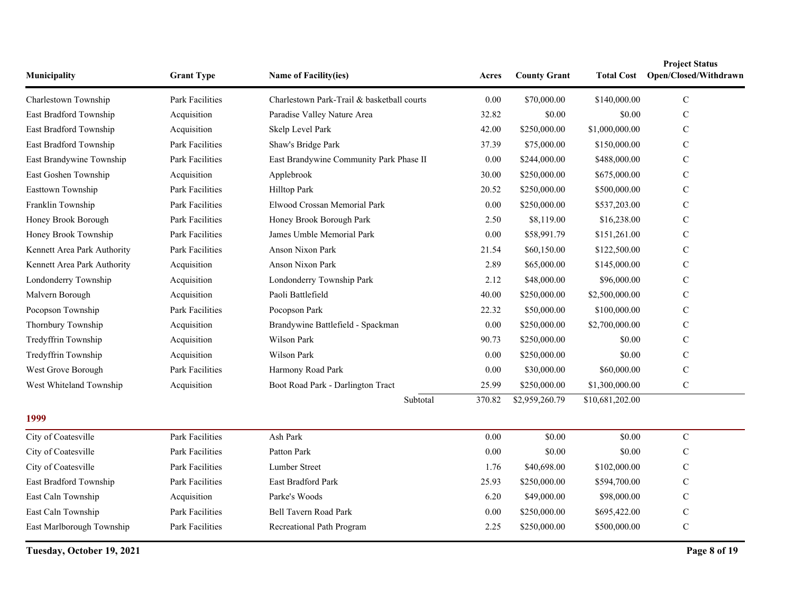| Municipality                | <b>Grant Type</b>      | Name of Facility(ies)                      | Acres    | <b>County Grant</b> | Total Cost      | <b>Project Status</b><br>Open/Closed/Withdrawn |
|-----------------------------|------------------------|--------------------------------------------|----------|---------------------|-----------------|------------------------------------------------|
| Charlestown Township        | <b>Park Facilities</b> | Charlestown Park-Trail & basketball courts | $0.00\,$ | \$70,000.00         | \$140,000.00    | ${\bf C}$                                      |
| East Bradford Township      | Acquisition            | Paradise Valley Nature Area                | 32.82    | \$0.00              | \$0.00          | $\mathbf C$                                    |
| East Bradford Township      | Acquisition            | Skelp Level Park                           | 42.00    | \$250,000.00        | \$1,000,000.00  | $\mathbf C$                                    |
| East Bradford Township      | <b>Park Facilities</b> | Shaw's Bridge Park                         | 37.39    | \$75,000.00         | \$150,000.00    | C                                              |
| East Brandywine Township    | <b>Park Facilities</b> | East Brandywine Community Park Phase II    | 0.00     | \$244,000.00        | \$488,000.00    | $\mathbf C$                                    |
| East Goshen Township        | Acquisition            | Applebrook                                 | 30.00    | \$250,000.00        | \$675,000.00    | C                                              |
| Easttown Township           | Park Facilities        | Hilltop Park                               | 20.52    | \$250,000.00        | \$500,000.00    | C                                              |
| Franklin Township           | Park Facilities        | Elwood Crossan Memorial Park               | 0.00     | \$250,000.00        | \$537,203.00    | $\mathbf C$                                    |
| Honey Brook Borough         | Park Facilities        | Honey Brook Borough Park                   | 2.50     | \$8,119.00          | \$16,238.00     | C                                              |
| Honey Brook Township        | <b>Park Facilities</b> | James Umble Memorial Park                  | 0.00     | \$58,991.79         | \$151,261.00    | $\mathbf C$                                    |
| Kennett Area Park Authority | <b>Park Facilities</b> | <b>Anson Nixon Park</b>                    | 21.54    | \$60,150.00         | \$122,500.00    | C                                              |
| Kennett Area Park Authority | Acquisition            | Anson Nixon Park                           | 2.89     | \$65,000.00         | \$145,000.00    | C                                              |
| Londonderry Township        | Acquisition            | Londonderry Township Park                  | 2.12     | \$48,000.00         | \$96,000.00     | C                                              |
| Malvern Borough             | Acquisition            | Paoli Battlefield                          | 40.00    | \$250,000.00        | \$2,500,000.00  | C                                              |
| Pocopson Township           | Park Facilities        | Pocopson Park                              | 22.32    | \$50,000.00         | \$100,000.00    | C                                              |
| Thornbury Township          | Acquisition            | Brandywine Battlefield - Spackman          | 0.00     | \$250,000.00        | \$2,700,000.00  | $\mathbf C$                                    |
| Tredyffrin Township         | Acquisition            | Wilson Park                                | 90.73    | \$250,000.00        | \$0.00          | $\mathbf C$                                    |
| Tredyffrin Township         | Acquisition            | Wilson Park                                | 0.00     | \$250,000.00        | \$0.00          | C                                              |
| West Grove Borough          | <b>Park Facilities</b> | Harmony Road Park                          | 0.00     | \$30,000.00         | \$60,000.00     | $\mathbf C$                                    |
| West Whiteland Township     | Acquisition            | Boot Road Park - Darlington Tract          | 25.99    | \$250,000.00        | \$1,300,000.00  | $\mathbf C$                                    |
|                             |                        | Subtotal                                   | 370.82   | \$2,959,260.79      | \$10,681,202.00 |                                                |
| 1999                        |                        |                                            |          |                     |                 |                                                |
| City of Coatesville         | Park Facilities        | Ash Park                                   | 0.00     | \$0.00              | \$0.00          | $\mathbf C$                                    |
| City of Coatesville         | Park Facilities        | Patton Park                                | 0.00     | \$0.00              | \$0.00          | C                                              |
| City of Coatesville         | Park Facilities        | <b>Lumber Street</b>                       | 1.76     | \$40,698.00         | \$102,000.00    | C                                              |
| East Bradford Township      | Park Facilities        | East Bradford Park                         | 25.93    | \$250,000.00        | \$594,700.00    | $\mathbf C$                                    |
| East Caln Township          | Acquisition            | Parke's Woods                              | 6.20     | \$49,000.00         | \$98,000.00     | C                                              |
| East Caln Township          | <b>Park Facilities</b> | Bell Tavern Road Park                      | $0.00\,$ | \$250,000.00        | \$695,422.00    | $\mathbf C$                                    |
| East Marlborough Township   | <b>Park Facilities</b> | Recreational Path Program                  | 2.25     | \$250,000.00        | \$500,000.00    | $\mathbf C$                                    |

**Tuesday, October 19, 2021 Page 8 of 19**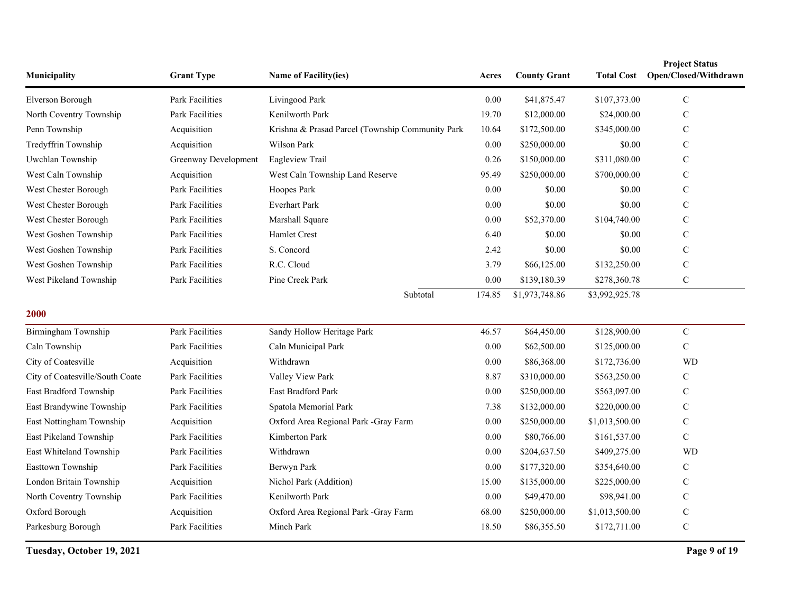| Municipality                    | <b>Grant Type</b>      | Name of Facility(ies)                            | Acres  | <b>County Grant</b> | <b>Total Cost</b> | <b>Project Status</b><br>Open/Closed/Withdrawn |
|---------------------------------|------------------------|--------------------------------------------------|--------|---------------------|-------------------|------------------------------------------------|
| Elverson Borough                | <b>Park Facilities</b> | Livingood Park                                   | 0.00   | \$41,875.47         | \$107,373.00      | $\mathbf C$                                    |
| North Coventry Township         | Park Facilities        | Kenilworth Park                                  | 19.70  | \$12,000.00         | \$24,000.00       | C                                              |
| Penn Township                   | Acquisition            | Krishna & Prasad Parcel (Township Community Park | 10.64  | \$172,500.00        | \$345,000.00      | C                                              |
| Tredyffrin Township             | Acquisition            | Wilson Park                                      | 0.00   | \$250,000.00        | \$0.00            | C                                              |
| Uwchlan Township                | Greenway Development   | Eagleview Trail                                  | 0.26   | \$150,000.00        | \$311,080.00      | C                                              |
| West Caln Township              | Acquisition            | West Caln Township Land Reserve                  | 95.49  | \$250,000.00        | \$700,000.00      | $\mathsf{C}$                                   |
| West Chester Borough            | <b>Park Facilities</b> | Hoopes Park                                      | 0.00   | \$0.00              | \$0.00            | C                                              |
| West Chester Borough            | Park Facilities        | <b>Everhart Park</b>                             | 0.00   | \$0.00              | \$0.00            | C                                              |
| West Chester Borough            | Park Facilities        | Marshall Square                                  | 0.00   | \$52,370.00         | \$104,740.00      | C                                              |
| West Goshen Township            | Park Facilities        | <b>Hamlet Crest</b>                              | 6.40   | \$0.00              | \$0.00            | $\mathbf C$                                    |
| West Goshen Township            | Park Facilities        | S. Concord                                       | 2.42   | \$0.00              | \$0.00            | $\mathbf C$                                    |
| West Goshen Township            | Park Facilities        | R.C. Cloud                                       | 3.79   | \$66,125.00         | \$132,250.00      | $\mathsf{C}$                                   |
| West Pikeland Township          | Park Facilities        | Pine Creek Park                                  | 0.00   | \$139,180.39        | \$278,360.78      | $\mathbf C$                                    |
|                                 |                        | Subtotal                                         | 174.85 | \$1,973,748.86      | \$3,992,925.78    |                                                |
| 2000                            |                        |                                                  |        |                     |                   |                                                |
| Birmingham Township             | Park Facilities        | Sandy Hollow Heritage Park                       | 46.57  | \$64,450.00         | \$128,900.00      | $\mathbf C$                                    |
| Caln Township                   | Park Facilities        | Caln Municipal Park                              | 0.00   | \$62,500.00         | \$125,000.00      | $\mathbf C$                                    |
| City of Coatesville             | Acquisition            | Withdrawn                                        | 0.00   | \$86,368.00         | \$172,736.00      | <b>WD</b>                                      |
| City of Coatesville/South Coate | Park Facilities        | Valley View Park                                 | 8.87   | \$310,000.00        | \$563,250.00      | $\mathbf C$                                    |
| East Bradford Township          | Park Facilities        | East Bradford Park                               | 0.00   | \$250,000.00        | \$563,097.00      | $\mathbf C$                                    |
| East Brandywine Township        | Park Facilities        | Spatola Memorial Park                            | 7.38   | \$132,000.00        | \$220,000.00      | $\mathbf C$                                    |
| East Nottingham Township        | Acquisition            | Oxford Area Regional Park -Gray Farm             | 0.00   | \$250,000.00        | \$1,013,500.00    | C                                              |
| East Pikeland Township          | Park Facilities        | Kimberton Park                                   | 0.00   | \$80,766.00         | \$161,537.00      | C                                              |
| East Whiteland Township         | Park Facilities        | Withdrawn                                        | 0.00   | \$204,637.50        | \$409,275.00      | <b>WD</b>                                      |
| Easttown Township               | <b>Park Facilities</b> | Berwyn Park                                      | 0.00   | \$177,320.00        | \$354,640.00      | C                                              |
| London Britain Township         | Acquisition            | Nichol Park (Addition)                           | 15.00  | \$135,000.00        | \$225,000.00      | $\mathbf C$                                    |
| North Coventry Township         | Park Facilities        | Kenilworth Park                                  | 0.00   | \$49,470.00         | \$98,941.00       | $\mathsf{C}$                                   |
| Oxford Borough                  | Acquisition            | Oxford Area Regional Park -Gray Farm             | 68.00  | \$250,000.00        | \$1,013,500.00    | $\mathbf C$                                    |
| Parkesburg Borough              | Park Facilities        | Minch Park                                       | 18.50  | \$86,355.50         | \$172,711.00      | $\mathbf C$                                    |

**Tuesday, October 19, 2021 Page 9 of 19**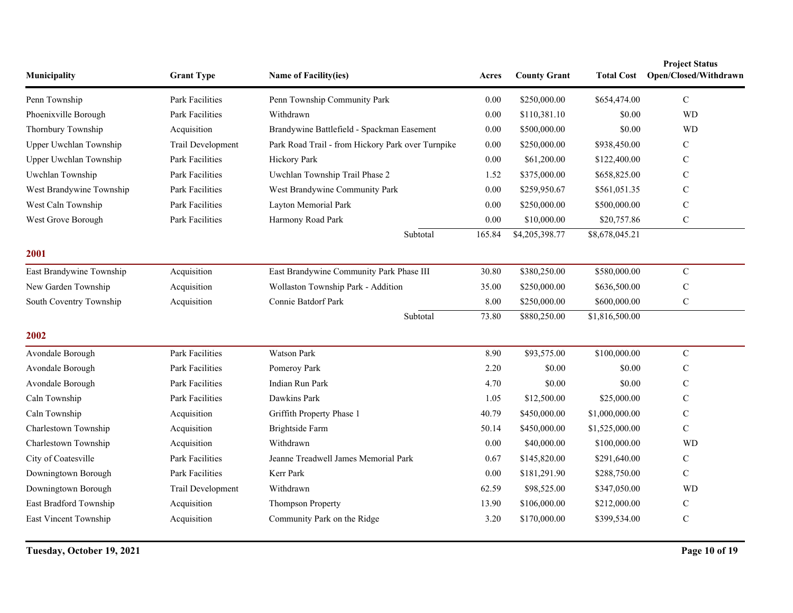| Municipality             | <b>Grant Type</b>      | <b>Name of Facility(ies)</b>                      | Acres    | <b>County Grant</b> | <b>Total Cost</b> | <b>Project Status</b><br>Open/Closed/Withdrawn |
|--------------------------|------------------------|---------------------------------------------------|----------|---------------------|-------------------|------------------------------------------------|
| Penn Township            | <b>Park Facilities</b> | Penn Township Community Park                      | 0.00     | \$250,000.00        | \$654,474.00      | $\mathcal{C}$                                  |
| Phoenixville Borough     | Park Facilities        | Withdrawn                                         | 0.00     | \$110,381.10        | \$0.00            | <b>WD</b>                                      |
| Thornbury Township       | Acquisition            | Brandywine Battlefield - Spackman Easement        | 0.00     | \$500,000.00        | \$0.00            | <b>WD</b>                                      |
| Upper Uwchlan Township   | Trail Development      | Park Road Trail - from Hickory Park over Turnpike | 0.00     | \$250,000.00        | \$938,450.00      | $\mathbf C$                                    |
| Upper Uwchlan Township   | Park Facilities        | Hickory Park                                      | $0.00\,$ | \$61,200.00         | \$122,400.00      | C                                              |
| Uwchlan Township         | Park Facilities        | Uwchlan Township Trail Phase 2                    | 1.52     | \$375,000.00        | \$658,825.00      | C                                              |
| West Brandywine Township | <b>Park Facilities</b> | West Brandywine Community Park                    | 0.00     | \$259,950.67        | \$561,051.35      | $\mathbf C$                                    |
| West Caln Township       | Park Facilities        | Layton Memorial Park                              | 0.00     | \$250,000.00        | \$500,000.00      | $\mathbf C$                                    |
| West Grove Borough       | <b>Park Facilities</b> | Harmony Road Park                                 | 0.00     | \$10,000.00         | \$20,757.86       | $\mathbf C$                                    |
|                          |                        | Subtotal                                          | 165.84   | \$4,205,398.77      | \$8,678,045.21    |                                                |
| 2001                     |                        |                                                   |          |                     |                   |                                                |
| East Brandywine Township | Acquisition            | East Brandywine Community Park Phase III          | 30.80    | \$380,250.00        | \$580,000.00      | $\mathbf C$                                    |
| New Garden Township      | Acquisition            | Wollaston Township Park - Addition                | 35.00    | \$250,000.00        | \$636,500.00      | $\mathsf C$                                    |
| South Coventry Township  | Acquisition            | Connie Batdorf Park                               | 8.00     | \$250,000.00        | \$600,000.00      | $\mathbf C$                                    |
|                          |                        | Subtotal                                          | 73.80    | \$880,250.00        | \$1,816,500.00    |                                                |
| 2002                     |                        |                                                   |          |                     |                   |                                                |
| Avondale Borough         | Park Facilities        | Watson Park                                       | 8.90     | \$93,575.00         | \$100,000.00      | $\mathbf C$                                    |
| Avondale Borough         | <b>Park Facilities</b> | Pomeroy Park                                      | 2.20     | \$0.00              | \$0.00            | C                                              |
| Avondale Borough         | <b>Park Facilities</b> | Indian Run Park                                   | 4.70     | \$0.00              | \$0.00            | $\mathbf C$                                    |
| Caln Township            | Park Facilities        | Dawkins Park                                      | 1.05     | \$12,500.00         | \$25,000.00       | $\mathsf{C}$                                   |
| Caln Township            | Acquisition            | Griffith Property Phase 1                         | 40.79    | \$450,000.00        | \$1,000,000.00    | $\mathbf C$                                    |
| Charlestown Township     | Acquisition            | Brightside Farm                                   | 50.14    | \$450,000.00        | \$1,525,000.00    | $\mathbf C$                                    |
| Charlestown Township     | Acquisition            | Withdrawn                                         | $0.00\,$ | \$40,000.00         | \$100,000.00      | <b>WD</b>                                      |
| City of Coatesville      | <b>Park Facilities</b> | Jeanne Treadwell James Memorial Park              | 0.67     | \$145,820.00        | \$291,640.00      | $\mathbf C$                                    |
| Downingtown Borough      | Park Facilities        | Kerr Park                                         | 0.00     | \$181,291.90        | \$288,750.00      | $\mathbf C$                                    |
| Downingtown Borough      | Trail Development      | Withdrawn                                         | 62.59    | \$98,525.00         | \$347,050.00      | <b>WD</b>                                      |
| East Bradford Township   | Acquisition            | Thompson Property                                 | 13.90    | \$106,000.00        | \$212,000.00      | $\mathbf C$                                    |
| East Vincent Township    | Acquisition            | Community Park on the Ridge                       | 3.20     | \$170,000.00        | \$399,534.00      | $\mathbf C$                                    |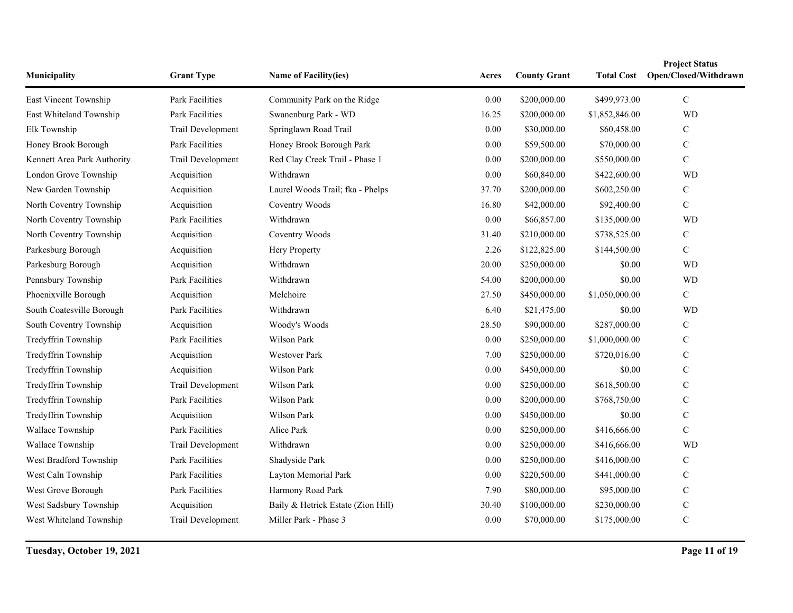| Municipality                | <b>Grant Type</b>      | <b>Name of Facility(ies)</b>       | Acres    | <b>County Grant</b> | <b>Total Cost</b> | <b>Project Status</b><br>Open/Closed/Withdrawn |
|-----------------------------|------------------------|------------------------------------|----------|---------------------|-------------------|------------------------------------------------|
| East Vincent Township       | <b>Park Facilities</b> | Community Park on the Ridge        | 0.00     | \$200,000.00        | \$499,973.00      | $\mathbf C$                                    |
| East Whiteland Township     | Park Facilities        | Swanenburg Park - WD               | 16.25    | \$200,000.00        | \$1,852,846.00    | <b>WD</b>                                      |
| Elk Township                | Trail Development      | Springlawn Road Trail              | 0.00     | \$30,000.00         | \$60,458.00       | $\mathcal{C}$                                  |
| Honey Brook Borough         | Park Facilities        | Honey Brook Borough Park           | 0.00     | \$59,500.00         | \$70,000.00       | $\mathbf C$                                    |
| Kennett Area Park Authority | Trail Development      | Red Clay Creek Trail - Phase 1     | 0.00     | \$200,000.00        | \$550,000.00      | $\mathbf C$                                    |
| London Grove Township       | Acquisition            | Withdrawn                          | 0.00     | \$60,840.00         | \$422,600.00      | <b>WD</b>                                      |
| New Garden Township         | Acquisition            | Laurel Woods Trail; fka - Phelps   | 37.70    | \$200,000.00        | \$602,250.00      | $\mathbf C$                                    |
| North Coventry Township     | Acquisition            | Coventry Woods                     | 16.80    | \$42,000.00         | \$92,400.00       | $\mathbf C$                                    |
| North Coventry Township     | Park Facilities        | Withdrawn                          | $0.00\,$ | \$66,857.00         | \$135,000.00      | <b>WD</b>                                      |
| North Coventry Township     | Acquisition            | Coventry Woods                     | 31.40    | \$210,000.00        | \$738,525.00      | $\mathbf C$                                    |
| Parkesburg Borough          | Acquisition            | Hery Property                      | 2.26     | \$122,825.00        | \$144,500.00      | $\mathcal{C}$                                  |
| Parkesburg Borough          | Acquisition            | Withdrawn                          | 20.00    | \$250,000.00        | \$0.00            | <b>WD</b>                                      |
| Pennsbury Township          | Park Facilities        | Withdrawn                          | 54.00    | \$200,000.00        | \$0.00            | <b>WD</b>                                      |
| Phoenixville Borough        | Acquisition            | Melchoire                          | 27.50    | \$450,000.00        | \$1,050,000.00    | $\mathbf C$                                    |
| South Coatesville Borough   | Park Facilities        | Withdrawn                          | 6.40     | \$21,475.00         | \$0.00            | <b>WD</b>                                      |
| South Coventry Township     | Acquisition            | Woody's Woods                      | 28.50    | \$90,000.00         | \$287,000.00      | $\mathbf C$                                    |
| Tredyffrin Township         | Park Facilities        | Wilson Park                        | $0.00\,$ | \$250,000.00        | \$1,000,000.00    | $\mathbf C$                                    |
| Tredyffrin Township         | Acquisition            | <b>Westover Park</b>               | 7.00     | \$250,000.00        | \$720,016.00      | $\mathbf C$                                    |
| Tredyffrin Township         | Acquisition            | Wilson Park                        | 0.00     | \$450,000.00        | \$0.00            | $\mathbf C$                                    |
| Tredyffrin Township         | Trail Development      | Wilson Park                        | 0.00     | \$250,000.00        | \$618,500.00      | $\mathbf C$                                    |
| Tredyffrin Township         | Park Facilities        | Wilson Park                        | 0.00     | \$200,000.00        | \$768,750.00      | $\mathbf C$                                    |
| Tredyffrin Township         | Acquisition            | Wilson Park                        | 0.00     | \$450,000.00        | \$0.00            | $\mathbf C$                                    |
| Wallace Township            | Park Facilities        | Alice Park                         | 0.00     | \$250,000.00        | \$416,666.00      | $\mathbf C$                                    |
| Wallace Township            | Trail Development      | Withdrawn                          | 0.00     | \$250,000.00        | \$416,666.00      | <b>WD</b>                                      |
| West Bradford Township      | Park Facilities        | Shadyside Park                     | 0.00     | \$250,000.00        | \$416,000.00      | $\mathbf C$                                    |
| West Caln Township          | Park Facilities        | Layton Memorial Park               | 0.00     | \$220,500.00        | \$441,000.00      | $\mathbf C$                                    |
| West Grove Borough          | Park Facilities        | Harmony Road Park                  | 7.90     | \$80,000.00         | \$95,000.00       | $\mathbf C$                                    |
| West Sadsbury Township      | Acquisition            | Baily & Hetrick Estate (Zion Hill) | 30.40    | \$100,000.00        | \$230,000.00      | $\mathbf C$                                    |
| West Whiteland Township     | Trail Development      | Miller Park - Phase 3              | $0.00\,$ | \$70,000.00         | \$175,000.00      | $\mathbf C$                                    |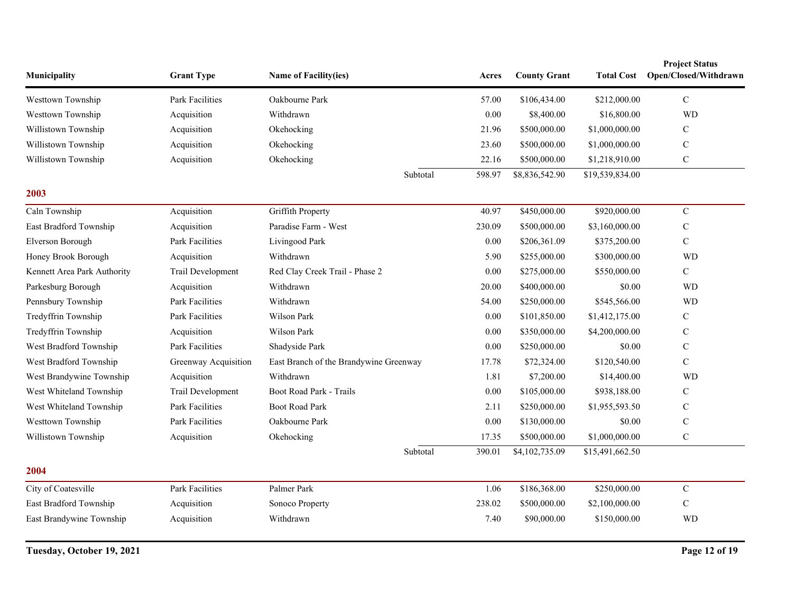| Municipality                | <b>Grant Type</b>      | Name of Facility(ies)                  |          | Acres  | <b>County Grant</b> | <b>Total Cost</b> | <b>Project Status</b><br>Open/Closed/Withdrawn |
|-----------------------------|------------------------|----------------------------------------|----------|--------|---------------------|-------------------|------------------------------------------------|
| Westtown Township           | <b>Park Facilities</b> | Oakbourne Park                         |          | 57.00  | \$106,434.00        | \$212,000.00      | $\mathbf C$                                    |
| Westtown Township           | Acquisition            | Withdrawn                              |          | 0.00   | \$8,400.00          | \$16,800.00       | <b>WD</b>                                      |
| Willistown Township         | Acquisition            | Okehocking                             |          | 21.96  | \$500,000.00        | \$1,000,000.00    | $\mathcal{C}$                                  |
| Willistown Township         | Acquisition            | Okehocking                             |          | 23.60  | \$500,000.00        | \$1,000,000.00    | $\mathbf C$                                    |
| Willistown Township         | Acquisition            | Okehocking                             |          | 22.16  | \$500,000.00        | \$1,218,910.00    | $\mathbf C$                                    |
|                             |                        |                                        | Subtotal | 598.97 | \$8,836,542.90      | \$19,539,834.00   |                                                |
| 2003                        |                        |                                        |          |        |                     |                   |                                                |
| Caln Township               | Acquisition            | Griffith Property                      |          | 40.97  | \$450,000.00        | \$920,000.00      | $\mathbf C$                                    |
| East Bradford Township      | Acquisition            | Paradise Farm - West                   |          | 230.09 | \$500,000.00        | \$3,160,000.00    | $\mathbf C$                                    |
| Elverson Borough            | Park Facilities        | Livingood Park                         |          | 0.00   | \$206,361.09        | \$375,200.00      | $\mathbf C$                                    |
| Honey Brook Borough         | Acquisition            | Withdrawn                              |          | 5.90   | \$255,000.00        | \$300,000.00      | <b>WD</b>                                      |
| Kennett Area Park Authority | Trail Development      | Red Clay Creek Trail - Phase 2         |          | 0.00   | \$275,000.00        | \$550,000.00      | $\mathcal{C}$                                  |
| Parkesburg Borough          | Acquisition            | Withdrawn                              |          | 20.00  | \$400,000.00        | \$0.00            | <b>WD</b>                                      |
| Pennsbury Township          | <b>Park Facilities</b> | Withdrawn                              |          | 54.00  | \$250,000.00        | \$545,566.00      | <b>WD</b>                                      |
| Tredyffrin Township         | <b>Park Facilities</b> | Wilson Park                            |          | 0.00   | \$101,850.00        | \$1,412,175.00    | $\mathbf C$                                    |
| Tredyffrin Township         | Acquisition            | Wilson Park                            |          | 0.00   | \$350,000.00        | \$4,200,000.00    | $\mathbf C$                                    |
| West Bradford Township      | Park Facilities        | Shadyside Park                         |          | 0.00   | \$250,000.00        | \$0.00            | $\mathbf C$                                    |
| West Bradford Township      | Greenway Acquisition   | East Branch of the Brandywine Greenway |          | 17.78  | \$72,324.00         | \$120,540.00      | $\mathcal{C}$                                  |
| West Brandywine Township    | Acquisition            | Withdrawn                              |          | 1.81   | \$7,200.00          | \$14,400.00       | <b>WD</b>                                      |
| West Whiteland Township     | Trail Development      | Boot Road Park - Trails                |          | 0.00   | \$105,000.00        | \$938,188.00      | $\mathcal{C}$                                  |
| West Whiteland Township     | <b>Park Facilities</b> | <b>Boot Road Park</b>                  |          | 2.11   | \$250,000.00        | \$1,955,593.50    | $\mathbf C$                                    |
| Westtown Township           | <b>Park Facilities</b> | Oakbourne Park                         |          | 0.00   | \$130,000.00        | \$0.00            | $\mathbf C$                                    |
| Willistown Township         | Acquisition            | Okehocking                             |          | 17.35  | \$500,000.00        | \$1,000,000.00    | ${\bf C}$                                      |
|                             |                        |                                        | Subtotal | 390.01 | \$4,102,735.09      | \$15,491,662.50   |                                                |
| 2004                        |                        |                                        |          |        |                     |                   |                                                |
| City of Coatesville         | <b>Park Facilities</b> | Palmer Park                            |          | 1.06   | \$186,368.00        | \$250,000.00      | $\mathbf C$                                    |
| East Bradford Township      | Acquisition            | Sonoco Property                        |          | 238.02 | \$500,000.00        | \$2,100,000.00    | $\mathcal{C}$                                  |
| East Brandywine Township    | Acquisition            | Withdrawn                              |          | 7.40   | \$90,000.00         | \$150,000.00      | <b>WD</b>                                      |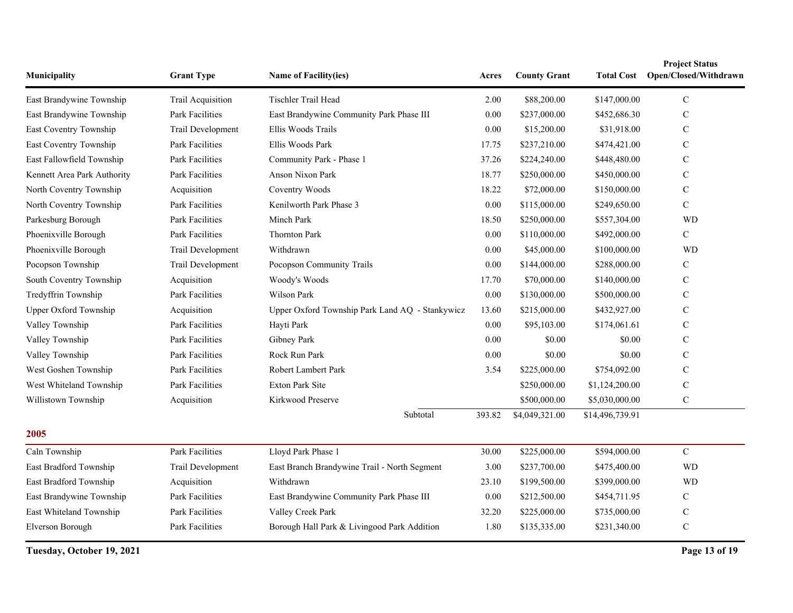| Municipality                | <b>Grant Type</b>      | Name of Facility(ies)                           | Acres  | <b>County Grant</b> |                 | <b>Project Status</b><br>Total Cost Open/Closed/Withdrawn |
|-----------------------------|------------------------|-------------------------------------------------|--------|---------------------|-----------------|-----------------------------------------------------------|
| East Brandywine Township    | Trail Acquisition      | Tischler Trail Head                             |        | \$88,200.00         | \$147,000.00    | $\mathcal{C}$                                             |
| East Brandywine Township    | Park Facilities        | East Brandywine Community Park Phase III        | 0.00   | \$237,000.00        | \$452,686.30    | $\mathcal{C}$                                             |
| East Coventry Township      | Trail Development      | Ellis Woods Trails                              | 0.00   | \$15,200.00         | \$31,918.00     | $\mathsf{C}$                                              |
| East Coventry Township      | Park Facilities        | Ellis Woods Park                                | 17.75  | \$237,210.00        | \$474,421.00    | $\mathsf{C}$                                              |
| East Fallowfield Township   | Park Facilities        | Community Park - Phase 1                        | 37.26  | \$224,240.00        | \$448,480.00    | $\mathbf C$                                               |
| Kennett Area Park Authority | <b>Park Facilities</b> | <b>Anson Nixon Park</b>                         | 18.77  | \$250,000.00        | \$450,000.00    | $\mathcal{C}$                                             |
| North Coventry Township     | Acquisition            | Coventry Woods                                  | 18.22  | \$72,000.00         | \$150,000.00    | $\mathcal{C}$                                             |
| North Coventry Township     | <b>Park Facilities</b> | Kenilworth Park Phase 3                         | 0.00   | \$115,000.00        | \$249,650.00    | $\mathcal{C}$                                             |
| Parkesburg Borough          | <b>Park Facilities</b> | Minch Park                                      | 18.50  | \$250,000.00        | \$557,304.00    | <b>WD</b>                                                 |
| Phoenixville Borough        | Park Facilities        | <b>Thornton Park</b>                            | 0.00   | \$110,000.00        | \$492,000.00    | $\mathcal{C}$                                             |
| Phoenixville Borough        | Trail Development      | Withdrawn                                       | 0.00   | \$45,000.00         | \$100,000.00    | <b>WD</b>                                                 |
| Pocopson Township           | Trail Development      | Pocopson Community Trails                       | 0.00   | \$144,000.00        | \$288,000.00    | $\mathsf{C}$                                              |
| South Coventry Township     | Acquisition            | Woody's Woods                                   | 17.70  | \$70,000.00         | \$140,000.00    | $\mathsf{C}$                                              |
| Tredyffrin Township         | Park Facilities        | Wilson Park                                     | 0.00   | \$130,000.00        | \$500,000.00    | $\mathcal{C}$                                             |
| Upper Oxford Township       | Acquisition            | Upper Oxford Township Park Land AQ - Stankywicz | 13.60  | \$215,000.00        | \$432,927.00    | $\mathcal{C}$                                             |
| Valley Township             | Park Facilities        | Hayti Park                                      | 0.00   | \$95,103.00         | \$174,061.61    | $\mathbf C$                                               |
| Valley Township             | Park Facilities        | Gibney Park                                     | 0.00   | \$0.00              | \$0.00          | $\mathbf C$                                               |
| Valley Township             | Park Facilities        | Rock Run Park                                   | 0.00   | \$0.00              | \$0.00          | $\mathsf{C}$                                              |
| West Goshen Township        | Park Facilities        | Robert Lambert Park                             | 3.54   | \$225,000.00        | \$754,092.00    | $\mathbf C$                                               |
| West Whiteland Township     | Park Facilities        | <b>Exton Park Site</b>                          |        | \$250,000.00        | \$1,124,200.00  | $\mathbf C$                                               |
| Willistown Township         | Acquisition            | Kirkwood Preserve                               |        | \$500,000.00        | \$5,030,000.00  | $\mathbf C$                                               |
|                             |                        | Subtotal                                        | 393.82 | \$4,049,321.00      | \$14,496,739.91 |                                                           |
| 2005                        |                        |                                                 |        |                     |                 |                                                           |
| Caln Township               | Park Facilities        | Lloyd Park Phase 1                              | 30.00  | \$225,000.00        | \$594,000.00    | $\mathbf C$                                               |
| East Bradford Township      | Trail Development      | East Branch Brandywine Trail - North Segment    | 3.00   | \$237,700.00        | \$475,400.00    | <b>WD</b>                                                 |
| East Bradford Township      | Acquisition            | Withdrawn                                       | 23.10  | \$199,500.00        | \$399,000.00    | <b>WD</b>                                                 |
| East Brandywine Township    | <b>Park Facilities</b> | East Brandywine Community Park Phase III        | 0.00   | \$212,500.00        | \$454,711.95    | $\mathbf C$                                               |
| East Whiteland Township     | <b>Park Facilities</b> | Valley Creek Park                               | 32.20  | \$225,000.00        | \$735,000.00    | $\mathcal{C}$                                             |
| Elverson Borough            | Park Facilities        | Borough Hall Park & Livingood Park Addition     | 1.80   | \$135,335.00        | \$231,340.00    | $\mathcal{C}$                                             |

**Tuesday, October 19, 2021 Page 13 of 19**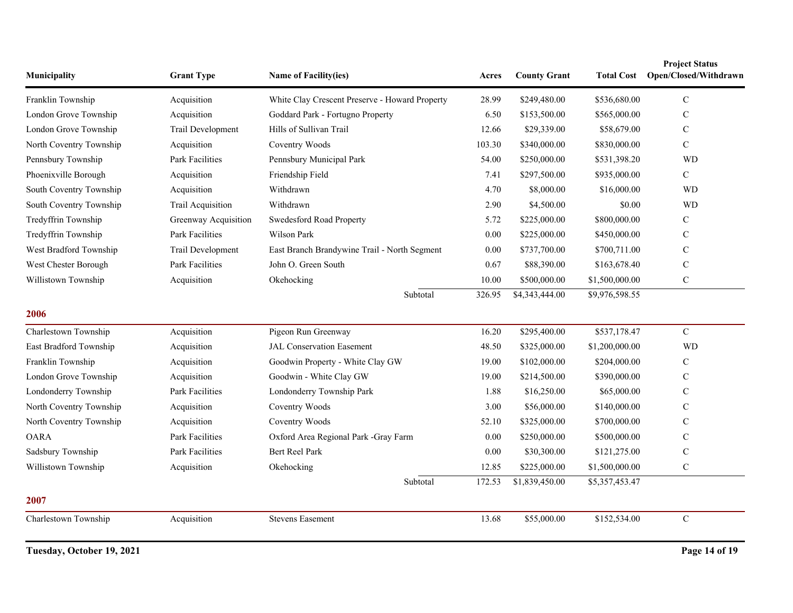| Municipality            | <b>Grant Type</b>    | <b>Name of Facility(ies)</b>                   |          | <b>County Grant</b> | <b>Total Cost</b> | <b>Project Status</b><br>Open/Closed/Withdrawn |
|-------------------------|----------------------|------------------------------------------------|----------|---------------------|-------------------|------------------------------------------------|
| Franklin Township       | Acquisition          | White Clay Crescent Preserve - Howard Property | 28.99    | \$249,480.00        | \$536,680.00      | $\mathbf C$                                    |
| London Grove Township   | Acquisition          | Goddard Park - Fortugno Property               | 6.50     | \$153,500.00        | \$565,000.00      | C                                              |
| London Grove Township   | Trail Development    | Hills of Sullivan Trail                        | 12.66    | \$29,339.00         | \$58,679.00       | $\mathbf C$                                    |
| North Coventry Township | Acquisition          | Coventry Woods                                 | 103.30   | \$340,000.00        | \$830,000.00      | $\mathcal{C}$                                  |
| Pennsbury Township      | Park Facilities      | Pennsbury Municipal Park                       | 54.00    | \$250,000.00        | \$531,398.20      | <b>WD</b>                                      |
| Phoenixville Borough    | Acquisition          | Friendship Field                               | 7.41     | \$297,500.00        | \$935,000.00      | $\mathbf C$                                    |
| South Coventry Township | Acquisition          | Withdrawn                                      | 4.70     | \$8,000.00          | \$16,000.00       | <b>WD</b>                                      |
| South Coventry Township | Trail Acquisition    | Withdrawn                                      | 2.90     | \$4,500.00          | \$0.00            | <b>WD</b>                                      |
| Tredyffrin Township     | Greenway Acquisition | Swedesford Road Property                       | 5.72     | \$225,000.00        | \$800,000.00      | $\mathcal{C}$                                  |
| Tredyffrin Township     | Park Facilities      | Wilson Park                                    | 0.00     | \$225,000.00        | \$450,000.00      | C                                              |
| West Bradford Township  | Trail Development    | East Branch Brandywine Trail - North Segment   | $0.00\,$ | \$737,700.00        | \$700,711.00      | C                                              |
| West Chester Borough    | Park Facilities      | John O. Green South                            | 0.67     | \$88,390.00         | \$163,678.40      | $\mathbf C$                                    |
| Willistown Township     | Acquisition          | Okehocking                                     | 10.00    | \$500,000.00        | \$1,500,000.00    | $\mathcal{C}$                                  |
|                         |                      | Subtotal                                       | 326.95   | \$4,343,444.00      | \$9,976,598.55    |                                                |
| 2006                    |                      |                                                |          |                     |                   |                                                |
| Charlestown Township    | Acquisition          | Pigeon Run Greenway                            | 16.20    | \$295,400.00        | \$537,178.47      | $\mathbf C$                                    |
| East Bradford Township  | Acquisition          | <b>JAL Conservation Easement</b>               | 48.50    | \$325,000.00        | \$1,200,000.00    | <b>WD</b>                                      |
| Franklin Township       | Acquisition          | Goodwin Property - White Clay GW               | 19.00    | \$102,000.00        | \$204,000.00      | C                                              |
| London Grove Township   | Acquisition          | Goodwin - White Clay GW                        | 19.00    | \$214,500.00        | \$390,000.00      | $\mathbf C$                                    |
| Londonderry Township    | Park Facilities      | Londonderry Township Park                      | 1.88     | \$16,250.00         | \$65,000.00       | $\mathcal{C}$                                  |
| North Coventry Township | Acquisition          | Coventry Woods                                 | 3.00     | \$56,000.00         | \$140,000.00      | C                                              |
| North Coventry Township | Acquisition          | Coventry Woods                                 | 52.10    | \$325,000.00        | \$700,000.00      | C                                              |
| <b>OARA</b>             | Park Facilities      | Oxford Area Regional Park -Gray Farm           | 0.00     | \$250,000.00        | \$500,000.00      | $\mathbf C$                                    |
| Sadsbury Township       | Park Facilities      | <b>Bert Reel Park</b>                          | 0.00     | \$30,300.00         | \$121,275.00      | $\mathbf C$                                    |
| Willistown Township     | Acquisition          | Okehocking                                     | 12.85    | \$225,000.00        | \$1,500,000.00    | $\mathbf C$                                    |
|                         |                      | Subtotal                                       | 172.53   | \$1,839,450.00      | \$5,357,453.47    |                                                |
| 2007                    |                      |                                                |          |                     |                   |                                                |
| Charlestown Township    | Acquisition          | <b>Stevens Easement</b>                        | 13.68    | \$55,000.00         | \$152,534.00      | $\mathbf C$                                    |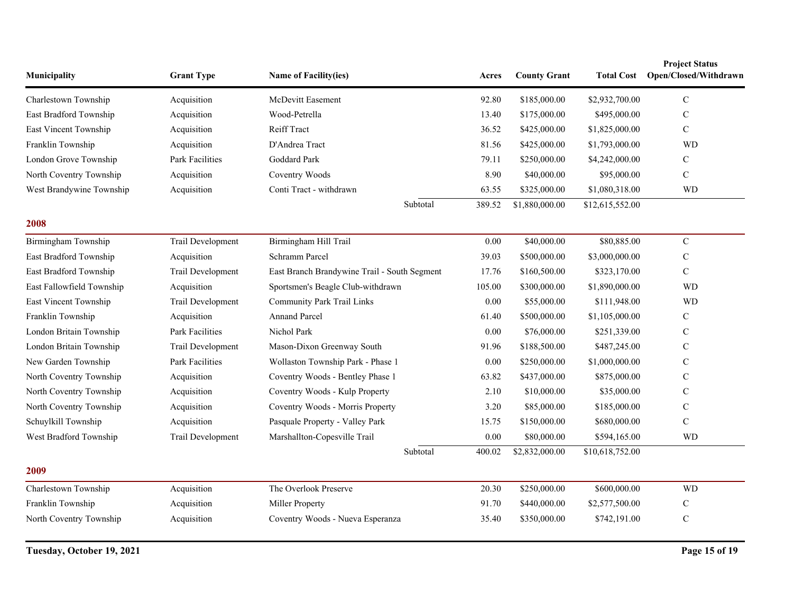| Municipality              | <b>Grant Type</b> | Name of Facility(ies)                        | Acres    | <b>County Grant</b> | <b>Total Cost</b> | <b>Project Status</b><br>Open/Closed/Withdrawn |
|---------------------------|-------------------|----------------------------------------------|----------|---------------------|-------------------|------------------------------------------------|
| Charlestown Township      | Acquisition       | McDevitt Easement                            | 92.80    | \$185,000.00        | \$2,932,700.00    | $\mathbf C$                                    |
| East Bradford Township    | Acquisition       | Wood-Petrella                                | 13.40    | \$175,000.00        | \$495,000.00      | $\mathcal{C}$                                  |
| East Vincent Township     | Acquisition       | <b>Reiff Tract</b>                           | 36.52    | \$425,000.00        | \$1,825,000.00    | $\mathbf C$                                    |
| Franklin Township         | Acquisition       | D'Andrea Tract                               | 81.56    | \$425,000.00        | \$1,793,000.00    | <b>WD</b>                                      |
| London Grove Township     | Park Facilities   | Goddard Park                                 | 79.11    | \$250,000.00        | \$4,242,000.00    | $\mathcal{C}$                                  |
| North Coventry Township   | Acquisition       | Coventry Woods                               | 8.90     | \$40,000.00         | \$95,000.00       | $\mathsf{C}$                                   |
| West Brandywine Township  | Acquisition       | Conti Tract - withdrawn                      | 63.55    | \$325,000.00        | \$1,080,318.00    | <b>WD</b>                                      |
|                           |                   | Subtotal                                     | 389.52   | \$1,880,000.00      | \$12,615,552.00   |                                                |
| 2008                      |                   |                                              |          |                     |                   |                                                |
| Birmingham Township       | Trail Development | Birmingham Hill Trail                        | 0.00     | \$40,000.00         | \$80,885.00       | $\mathbf C$                                    |
| East Bradford Township    | Acquisition       | Schramm Parcel                               | 39.03    | \$500,000.00        | \$3,000,000.00    | $\mathbf C$                                    |
| East Bradford Township    | Trail Development | East Branch Brandywine Trail - South Segment | 17.76    | \$160,500.00        | \$323,170.00      | $\mathcal{C}$                                  |
| East Fallowfield Township | Acquisition       | Sportsmen's Beagle Club-withdrawn            | 105.00   | \$300,000.00        | \$1,890,000.00    | <b>WD</b>                                      |
| East Vincent Township     | Trail Development | <b>Community Park Trail Links</b>            | $0.00\,$ | \$55,000.00         | \$111,948.00      | <b>WD</b>                                      |
| Franklin Township         | Acquisition       | <b>Annand Parcel</b>                         | 61.40    | \$500,000.00        | \$1,105,000.00    | $\mathcal{C}$                                  |
| London Britain Township   | Park Facilities   | Nichol Park                                  | 0.00     | \$76,000.00         | \$251,339.00      | $\mathbf C$                                    |
| London Britain Township   | Trail Development | Mason-Dixon Greenway South                   | 91.96    | \$188,500.00        | \$487,245.00      | $\mathcal{C}$                                  |
| New Garden Township       | Park Facilities   | Wollaston Township Park - Phase 1            | 0.00     | \$250,000.00        | \$1,000,000.00    | $\mathcal{C}$                                  |
| North Coventry Township   | Acquisition       | Coventry Woods - Bentley Phase 1             | 63.82    | \$437,000.00        | \$875,000.00      | $\mathbf C$                                    |
| North Coventry Township   | Acquisition       | Coventry Woods - Kulp Property               | 2.10     | \$10,000.00         | \$35,000.00       | $\mathbf C$                                    |
| North Coventry Township   | Acquisition       | Coventry Woods - Morris Property             | 3.20     | \$85,000.00         | \$185,000.00      | $\mathbf C$                                    |
| Schuylkill Township       | Acquisition       | Pasquale Property - Valley Park              | 15.75    | \$150,000.00        | \$680,000.00      | $\mathcal{C}$                                  |
| West Bradford Township    | Trail Development | Marshallton-Copesville Trail                 | 0.00     | \$80,000.00         | \$594,165.00      | <b>WD</b>                                      |
|                           |                   | Subtotal                                     | 400.02   | \$2,832,000.00      | \$10,618,752.00   |                                                |
| 2009                      |                   |                                              |          |                     |                   |                                                |
| Charlestown Township      | Acquisition       | The Overlook Preserve                        | 20.30    | \$250,000.00        | \$600,000.00      | <b>WD</b>                                      |
| Franklin Township         | Acquisition       | Miller Property                              | 91.70    | \$440,000.00        | \$2,577,500.00    | $\mathbf C$                                    |
| North Coventry Township   | Acquisition       | Coventry Woods - Nueva Esperanza             | 35.40    | \$350,000.00        | \$742,191.00      | $\mathbf C$                                    |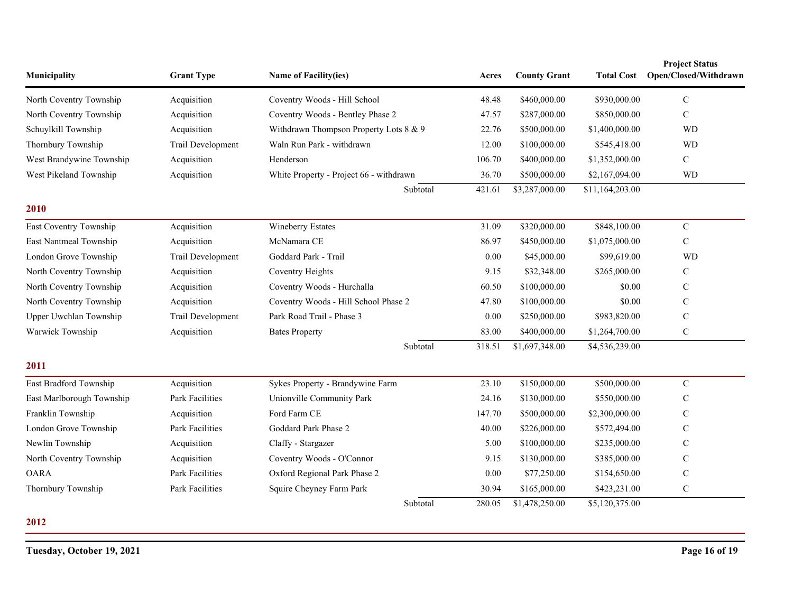| Municipality              | <b>Grant Type</b>      | Name of Facility(ies)                   | Acres  | <b>County Grant</b> | <b>Total Cost</b> | <b>Project Status</b><br>Open/Closed/Withdrawn |
|---------------------------|------------------------|-----------------------------------------|--------|---------------------|-------------------|------------------------------------------------|
| North Coventry Township   | Acquisition            | Coventry Woods - Hill School            | 48.48  | \$460,000.00        | \$930,000.00      | $\mathbf C$                                    |
| North Coventry Township   | Acquisition            | Coventry Woods - Bentley Phase 2        | 47.57  | \$287,000.00        | \$850,000.00      | $\mathbf C$                                    |
| Schuylkill Township       | Acquisition            | Withdrawn Thompson Property Lots 8 & 9  | 22.76  | \$500,000.00        | \$1,400,000.00    | <b>WD</b>                                      |
| Thornbury Township        | Trail Development      | Waln Run Park - withdrawn               | 12.00  | \$100,000.00        | \$545,418.00      | <b>WD</b>                                      |
| West Brandywine Township  | Acquisition            | Henderson                               | 106.70 | \$400,000.00        | \$1,352,000.00    | $\mathbf C$                                    |
| West Pikeland Township    | Acquisition            | White Property - Project 66 - withdrawn | 36.70  | \$500,000.00        | \$2,167,094.00    | <b>WD</b>                                      |
|                           |                        | Subtotal                                | 421.61 | \$3,287,000.00      | \$11,164,203.00   |                                                |
| 2010                      |                        |                                         |        |                     |                   |                                                |
| East Coventry Township    | Acquisition            | Wineberry Estates                       | 31.09  | \$320,000.00        | \$848,100.00      | $\mathbf C$                                    |
| East Nantmeal Township    | Acquisition            | McNamara CE                             | 86.97  | \$450,000.00        | \$1,075,000.00    | ${\bf C}$                                      |
| London Grove Township     | Trail Development      | Goddard Park - Trail                    | 0.00   | \$45,000.00         | \$99,619.00       | <b>WD</b>                                      |
| North Coventry Township   | Acquisition            | Coventry Heights                        | 9.15   | \$32,348.00         | \$265,000.00      | C                                              |
| North Coventry Township   | Acquisition            | Coventry Woods - Hurchalla              | 60.50  | \$100,000.00        | \$0.00            | $\mathcal{C}$                                  |
| North Coventry Township   | Acquisition            | Coventry Woods - Hill School Phase 2    | 47.80  | \$100,000.00        | \$0.00            | C                                              |
| Upper Uwchlan Township    | Trail Development      | Park Road Trail - Phase 3               | 0.00   | \$250,000.00        | \$983,820.00      | $\mathbf C$                                    |
| Warwick Township          | Acquisition            | <b>Bates Property</b>                   | 83.00  | \$400,000.00        | \$1,264,700.00    | $\mathbf C$                                    |
|                           |                        | Subtotal                                | 318.51 | \$1,697,348.00      | \$4,536,239.00    |                                                |
| 2011                      |                        |                                         |        |                     |                   |                                                |
| East Bradford Township    | Acquisition            | Sykes Property - Brandywine Farm        | 23.10  | \$150,000.00        | \$500,000.00      | $\mathbf C$                                    |
| East Marlborough Township | <b>Park Facilities</b> | Unionville Community Park               | 24.16  | \$130,000.00        | \$550,000.00      | ${\bf C}$                                      |
| Franklin Township         | Acquisition            | Ford Farm CE                            | 147.70 | \$500,000.00        | \$2,300,000.00    | $\mathbf C$                                    |
| London Grove Township     | <b>Park Facilities</b> | Goddard Park Phase 2                    | 40.00  | \$226,000.00        | \$572,494.00      | C                                              |
| Newlin Township           | Acquisition            | Claffy - Stargazer                      | 5.00   | \$100,000.00        | \$235,000.00      | C                                              |
| North Coventry Township   | Acquisition            | Coventry Woods - O'Connor               | 9.15   | \$130,000.00        | \$385,000.00      | $\mathbf C$                                    |
| <b>OARA</b>               | <b>Park Facilities</b> | Oxford Regional Park Phase 2            | 0.00   | \$77,250.00         | \$154,650.00      | $\mathbf C$                                    |
| Thornbury Township        | <b>Park Facilities</b> | Squire Cheyney Farm Park                | 30.94  | \$165,000.00        | \$423,231.00      | ${\bf C}$                                      |
|                           |                        | Subtotal                                | 280.05 | \$1,478,250.00      | \$5,120,375.00    |                                                |

## **2012**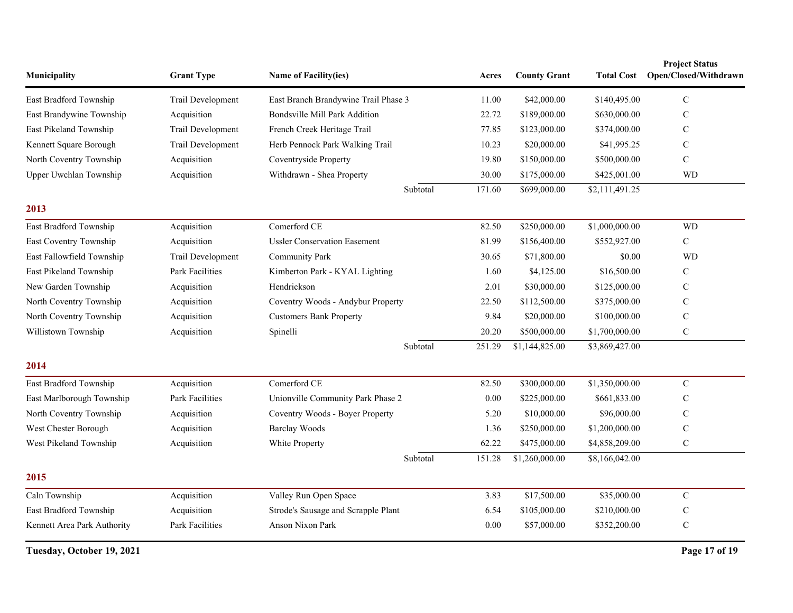| Municipality                | <b>Grant Type</b>      | Name of Facility(ies)                | Acres    | <b>County Grant</b> | <b>Total Cost</b> | <b>Project Status</b><br>Open/Closed/Withdrawn |
|-----------------------------|------------------------|--------------------------------------|----------|---------------------|-------------------|------------------------------------------------|
| East Bradford Township      | Trail Development      | East Branch Brandywine Trail Phase 3 | 11.00    | \$42,000.00         | \$140,495.00      | $\mathsf{C}$                                   |
| East Brandywine Township    | Acquisition            | Bondsville Mill Park Addition        | 22.72    | \$189,000.00        | \$630,000.00      | $\mathbf C$                                    |
| East Pikeland Township      | Trail Development      | French Creek Heritage Trail          | 77.85    | \$123,000.00        | \$374,000.00      | $\mathcal{C}$                                  |
| Kennett Square Borough      | Trail Development      | Herb Pennock Park Walking Trail      | 10.23    | \$20,000.00         | \$41,995.25       | $\mathsf{C}$                                   |
| North Coventry Township     | Acquisition            | Coventryside Property                | 19.80    | \$150,000.00        | \$500,000.00      | $\mathbf C$                                    |
| Upper Uwchlan Township      | Acquisition            | Withdrawn - Shea Property            | 30.00    | \$175,000.00        | \$425,001.00      | <b>WD</b>                                      |
|                             |                        | Subtotal                             | 171.60   | \$699,000.00        | \$2,111,491.25    |                                                |
| 2013                        |                        |                                      |          |                     |                   |                                                |
| East Bradford Township      | Acquisition            | Comerford CE                         | 82.50    | \$250,000.00        | \$1,000,000.00    | <b>WD</b>                                      |
| East Coventry Township      | Acquisition            | <b>Ussler Conservation Easement</b>  | 81.99    | \$156,400.00        | \$552,927.00      | $\mathbf C$                                    |
| East Fallowfield Township   | Trail Development      | <b>Community Park</b>                | 30.65    | \$71,800.00         | \$0.00            | <b>WD</b>                                      |
| East Pikeland Township      | <b>Park Facilities</b> | Kimberton Park - KYAL Lighting       | 1.60     | \$4,125.00          | \$16,500.00       | $\mathcal{C}$                                  |
| New Garden Township         | Acquisition            | Hendrickson                          | 2.01     | \$30,000.00         | \$125,000.00      | $\mathsf{C}$                                   |
| North Coventry Township     | Acquisition            | Coventry Woods - Andybur Property    | 22.50    | \$112,500.00        | \$375,000.00      | $\mathcal{C}$                                  |
| North Coventry Township     | Acquisition            | <b>Customers Bank Property</b>       | 9.84     | \$20,000.00         | \$100,000.00      | $\mathbf C$                                    |
| Willistown Township         | Acquisition            | Spinelli                             | 20.20    | \$500,000.00        | \$1,700,000.00    | $\mathbf C$                                    |
|                             |                        | Subtotal                             | 251.29   | \$1,144,825.00      | \$3,869,427.00    |                                                |
| 2014                        |                        |                                      |          |                     |                   |                                                |
| East Bradford Township      | Acquisition            | Comerford CE                         | 82.50    | \$300,000.00        | \$1,350,000.00    | $\mathbf C$                                    |
| East Marlborough Township   | Park Facilities        | Unionville Community Park Phase 2    | $0.00\,$ | \$225,000.00        | \$661,833.00      | $\mathcal{C}$                                  |
| North Coventry Township     | Acquisition            | Coventry Woods - Boyer Property      | 5.20     | \$10,000.00         | \$96,000.00       | $\mathcal{C}$                                  |
| West Chester Borough        | Acquisition            | <b>Barclay Woods</b>                 | 1.36     | \$250,000.00        | \$1,200,000.00    | $\mathbf C$                                    |
| West Pikeland Township      | Acquisition            | White Property                       | 62.22    | \$475,000.00        | \$4,858,209.00    | ${\bf C}$                                      |
|                             |                        | Subtotal                             | 151.28   | \$1,260,000.00      | \$8,166,042.00    |                                                |
| 2015                        |                        |                                      |          |                     |                   |                                                |
| Caln Township               | Acquisition            | Valley Run Open Space                | 3.83     | \$17,500.00         | \$35,000.00       | ${\bf C}$                                      |
| East Bradford Township      | Acquisition            | Strode's Sausage and Scrapple Plant  | 6.54     | \$105,000.00        | \$210,000.00      | $\mathsf{C}$                                   |
| Kennett Area Park Authority | Park Facilities        | Anson Nixon Park                     | 0.00     | \$57,000.00         | \$352,200.00      | $\mathbf C$                                    |

**Tuesday, October 19, 2021 Page 17 of 19**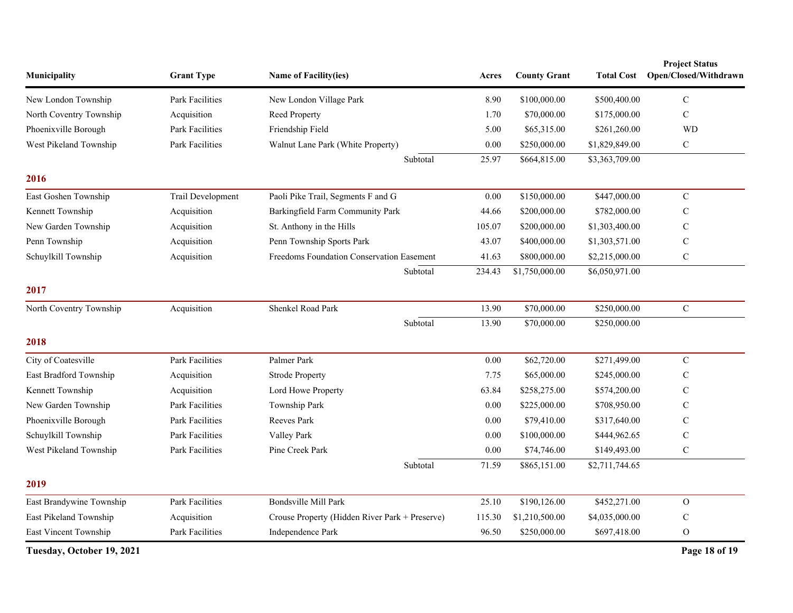| Municipality              | <b>Grant Type</b>      | Name of Facility(ies)                          | Acres    | <b>County Grant</b> | <b>Total Cost</b> | <b>Project Status</b><br>Open/Closed/Withdrawn |
|---------------------------|------------------------|------------------------------------------------|----------|---------------------|-------------------|------------------------------------------------|
| New London Township       | Park Facilities        | New London Village Park                        | 8.90     | \$100,000.00        | \$500,400.00      | ${\bf C}$                                      |
| North Coventry Township   | Acquisition            | Reed Property                                  | 1.70     | \$70,000.00         | \$175,000.00      | $\mathbf C$                                    |
| Phoenixville Borough      | <b>Park Facilities</b> | Friendship Field                               | 5.00     | \$65,315.00         | \$261,260.00      | <b>WD</b>                                      |
| West Pikeland Township    | <b>Park Facilities</b> | Walnut Lane Park (White Property)              | 0.00     | \$250,000.00        | \$1,829,849.00    | $\mathbf C$                                    |
|                           |                        | Subtotal                                       | 25.97    | \$664,815.00        | \$3,363,709.00    |                                                |
| 2016                      |                        |                                                |          |                     |                   |                                                |
| East Goshen Township      | Trail Development      | Paoli Pike Trail, Segments F and G             | 0.00     | \$150,000.00        | \$447,000.00      | $\mathbf C$                                    |
| Kennett Township          | Acquisition            | Barkingfield Farm Community Park               | 44.66    | \$200,000.00        | \$782,000.00      | $\mathbf C$                                    |
| New Garden Township       | Acquisition            | St. Anthony in the Hills                       | 105.07   | \$200,000.00        | \$1,303,400.00    | $\mathsf{C}$                                   |
| Penn Township             | Acquisition            | Penn Township Sports Park                      | 43.07    | \$400,000.00        | \$1,303,571.00    | $\mathbf C$                                    |
| Schuylkill Township       | Acquisition            | Freedoms Foundation Conservation Easement      | 41.63    | \$800,000.00        | \$2,215,000.00    | ${\bf C}$                                      |
|                           |                        | Subtotal                                       | 234.43   | \$1,750,000.00      | \$6,050,971.00    |                                                |
| 2017                      |                        |                                                |          |                     |                   |                                                |
| North Coventry Township   | Acquisition            | Shenkel Road Park                              | 13.90    | \$70,000.00         | \$250,000.00      | ${\bf C}$                                      |
|                           |                        | Subtotal                                       | 13.90    | \$70,000.00         | \$250,000.00      |                                                |
| 2018                      |                        |                                                |          |                     |                   |                                                |
| City of Coatesville       | Park Facilities        | Palmer Park                                    | 0.00     | \$62,720.00         | \$271,499.00      | ${\bf C}$                                      |
| East Bradford Township    | Acquisition            | <b>Strode Property</b>                         | 7.75     | \$65,000.00         | \$245,000.00      | $\mathbf C$                                    |
| Kennett Township          | Acquisition            | Lord Howe Property                             | 63.84    | \$258,275.00        | \$574,200.00      | $\mathbf C$                                    |
| New Garden Township       | Park Facilities        | Township Park                                  | $0.00\,$ | \$225,000.00        | \$708,950.00      | $\mathsf{C}$                                   |
| Phoenixville Borough      | Park Facilities        | Reeves Park                                    | 0.00     | \$79,410.00         | \$317,640.00      | $\mathbf C$                                    |
| Schuylkill Township       | Park Facilities        | Valley Park                                    | 0.00     | \$100,000.00        | \$444,962.65      | $\mathbf C$                                    |
| West Pikeland Township    | Park Facilities        | Pine Creek Park                                | $0.00\,$ | \$74,746.00         | \$149,493.00      | $\mathbf C$                                    |
|                           |                        | Subtotal                                       | 71.59    | \$865,151.00        | \$2,711,744.65    |                                                |
| 2019                      |                        |                                                |          |                     |                   |                                                |
| East Brandywine Township  | Park Facilities        | Bondsville Mill Park                           | 25.10    | \$190,126.00        | \$452,271.00      | $\mathbf{O}$                                   |
| East Pikeland Township    | Acquisition            | Crouse Property (Hidden River Park + Preserve) | 115.30   | \$1,210,500.00      | \$4,035,000.00    | $\mathbf C$                                    |
| East Vincent Township     | Park Facilities        | Independence Park                              | 96.50    | \$250,000.00        | \$697,418.00      | $\Omega$                                       |
| Tuesday, October 19, 2021 |                        |                                                |          |                     |                   | Page 18 of 19                                  |